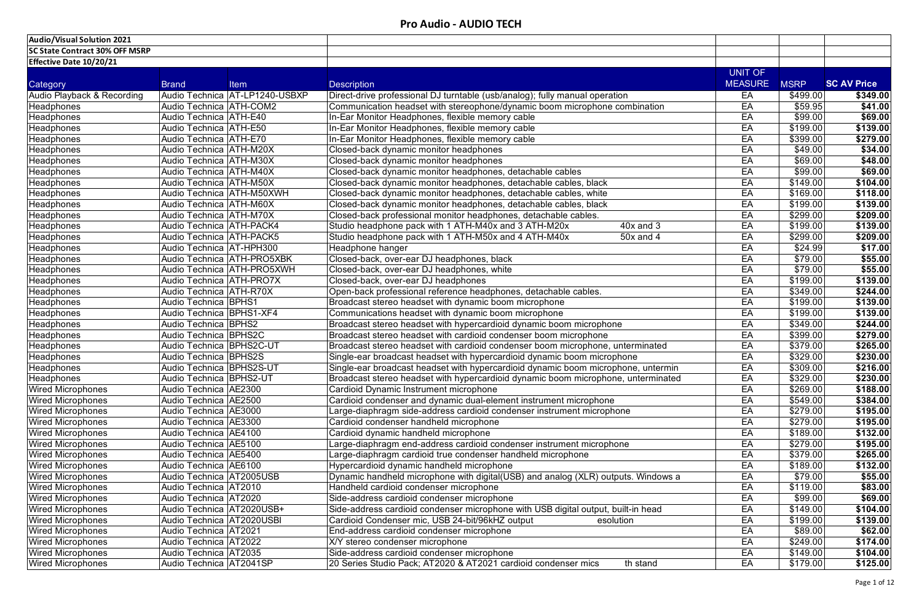| <b>Audio/Visual Solution 2021</b>     |                             |                                |                                                                                   |                |             |                    |
|---------------------------------------|-----------------------------|--------------------------------|-----------------------------------------------------------------------------------|----------------|-------------|--------------------|
| <b>SC State Contract 30% OFF MSRP</b> |                             |                                |                                                                                   |                |             |                    |
| <b>Effective Date 10/20/21</b>        |                             |                                |                                                                                   |                |             |                    |
|                                       |                             |                                |                                                                                   | UNIT OF        |             |                    |
| Category                              | <b>Brand</b>                | <b>Item</b>                    | <b>Description</b>                                                                | <b>MEASURE</b> | <b>MSRP</b> | <b>SC AV Price</b> |
| <b>Audio Playback &amp; Recording</b> |                             | Audio Technica AT-LP1240-USBXP | Direct-drive professional DJ turntable (usb/analog); fully manual operation       | EA             | \$499.00    | \$349.00           |
| <b>Headphones</b>                     | Audio Technica   ATH-COM2   |                                | Communication headset with stereophone/dynamic boom microphone combination        | EA             | \$59.95     | \$41.00            |
| <b>Headphones</b>                     | Audio Technica   ATH-E40    |                                | In-Ear Monitor Headphones, flexible memory cable                                  | EA             | \$99.00     | \$69.00            |
| <b>Headphones</b>                     | Audio Technica   ATH-E50    |                                | In-Ear Monitor Headphones, flexible memory cable                                  | EA             | \$199.00    | \$139.00           |
| <b>Headphones</b>                     | Audio Technica   ATH-E70    |                                | In-Ear Monitor Headphones, flexible memory cable                                  | EA             | \$399.00    | \$279.00           |
| <b>Headphones</b>                     | Audio Technica   ATH-M20X   |                                | Closed-back dynamic monitor headphones                                            | EA             | \$49.00     | \$34.00            |
| <b>Headphones</b>                     | Audio Technica   ATH-M30X   |                                | Closed-back dynamic monitor headphones                                            | EA             | \$69.00     | \$48.00            |
| <b>Headphones</b>                     | Audio Technica   ATH-M40X   |                                | Closed-back dynamic monitor headphones, detachable cables                         | EA             | \$99.00     | \$69.00            |
| <b>Headphones</b>                     | Audio Technica   ATH-M50X   |                                | Closed-back dynamic monitor headphones, detachable cables, black                  | EA             | \$149.00    | \$104.00           |
| <b>Headphones</b>                     | Audio Technica   ATH-M50XWH |                                | Closed-back dynamic monitor headphones, detachable cables, white                  | EA             | \$169.00    | \$118.00           |
| <b>Headphones</b>                     | Audio Technica   ATH-M60X   |                                | Closed-back dynamic monitor headphones, detachable cables, black                  | EA             | \$199.00    | \$139.00           |
| Headphones                            | Audio Technica   ATH-M70X   |                                | Closed-back professional monitor headphones, detachable cables.                   | EA             | \$299.00    | \$209.00           |
| <b>Headphones</b>                     | Audio Technica   ATH-PACK4  |                                | Studio headphone pack with 1 ATH-M40x and 3 ATH-M20x<br>$40x$ and $3$             | EA             | \$199.00    | \$139.00           |
| Headphones                            | Audio Technica   ATH-PACK5  |                                | Studio headphone pack with 1 ATH-M50x and 4 ATH-M40x<br>$50x$ and 4               | EA             | \$299.00    | \$209.00           |
| <b>Headphones</b>                     | Audio Technica   AT-HPH300  |                                | Headphone hanger                                                                  | EA             | \$24.99     | \$17.00            |
| <b>Headphones</b>                     |                             | Audio Technica   ATH-PRO5XBK   | Closed-back, over-ear DJ headphones, black                                        | EA             | \$79.00     | \$55.00            |
| <b>Headphones</b>                     |                             | Audio Technica   ATH-PRO5XWH   | Closed-back, over-ear DJ headphones, white                                        | EA             | \$79.00     | \$55.00            |
| <b>Headphones</b>                     | Audio Technica   ATH-PRO7X  |                                | Closed-back, over-ear DJ headphones                                               | EA             | \$199.00    | \$139.00           |
| <b>Headphones</b>                     | Audio Technica ATH-R70X     |                                | Open-back professional reference headphones, detachable cables.                   | EA             | \$349.00    | \$244.00           |
| <b>Headphones</b>                     | <b>Audio Technica BPHS1</b> |                                | Broadcast stereo headset with dynamic boom microphone                             | EA             | \$199.00    | \$139.00           |
| <b>Headphones</b>                     | Audio Technica BPHS1-XF4    |                                | Communications headset with dynamic boom microphone                               | EA             | \$199.00    | \$139.00           |
| <b>Headphones</b>                     | Audio Technica   BPHS2      |                                | Broadcast stereo headset with hypercardioid dynamic boom microphone               | EA             | \$349.00    | \$244.00           |
| Headphones                            | Audio Technica BPHS2C       |                                | Broadcast stereo headset with cardioid condenser boom microphone                  | EA             | \$399.00    | \$279.00           |
| <b>Headphones</b>                     | Audio Technica BPHS2C-UT    |                                | Broadcast stereo headset with cardioid condenser boom microphone, unterminated    | EA             | \$379.00    | \$265.00           |
| <b>Headphones</b>                     | Audio Technica BPHS2S       |                                | Single-ear broadcast headset with hypercardioid dynamic boom microphone           | EA             | \$329.00    | \$230.00           |
| <b>Headphones</b>                     | Audio Technica BPHS2S-UT    |                                | Single-ear broadcast headset with hypercardioid dynamic boom microphone, untermin | EA             | \$309.00    | \$216.00           |
| <b>Headphones</b>                     | Audio Technica   BPHS2-UT   |                                | Broadcast stereo headset with hypercardioid dynamic boom microphone, unterminated | EA             | \$329.00    | \$230.00           |
| <b>Wired Microphones</b>              | Audio Technica   AE2300     |                                | Cardioid Dynamic Instrument microphone                                            | EA             | \$269.00    | \$188.00           |
| <b>Wired Microphones</b>              | Audio Technica   AE2500     |                                | Cardioid condenser and dynamic dual-element instrument microphone                 | EA             | \$549.00    | \$384.00           |
| <b>Wired Microphones</b>              | Audio Technica   AE3000     |                                | Large-diaphragm side-address cardioid condenser instrument microphone             | EA             | \$279.00    | \$195.00           |
| <b>Wired Microphones</b>              | Audio Technica AE3300       |                                | Cardioid condenser handheld microphone                                            | EA             | \$279.00    | \$195.00           |
| <b>Wired Microphones</b>              | Audio Technica   AE4100     |                                | Cardioid dynamic handheld microphone                                              | EA             | \$189.00    | \$132.00           |
| <b>Wired Microphones</b>              | Audio Technica   AE5100     |                                | arge-diaphragm end-address cardioid condenser instrument microphone               | EA             | \$279.00    | \$195.00           |
| <b>Wired Microphones</b>              | Audio Technica   AE5400     |                                | arge-diaphragm cardioid true condenser handheld microphone                        | EA             | \$379.00    | \$265.00           |
| <b>Wired Microphones</b>              | Audio Technica AE6100       |                                | Hypercardioid dynamic handheld microphone                                         | EA             | \$189.00    | \$132.00           |
| <b>Wired Microphones</b>              | Audio Technica AT2005USB    |                                | Dynamic handheld microphone with digital(USB) and analog (XLR) outputs. Windows a | EA             | \$79.00     | \$55.00            |
| <b>Wired Microphones</b>              | Audio Technica   AT2010     |                                | Handheld cardioid condenser microphone                                            | EA             | \$119.00    | \$83.00            |
| <b>Wired Microphones</b>              | Audio Technica   AT2020     |                                | Side-address cardioid condenser microphone                                        | EA             | \$99.00     | \$69.00            |
| <b>Wired Microphones</b>              | Audio Technica   AT2020USB+ |                                | Side-address cardioid condenser microphone with USB digital output, built-in head | EA             | \$149.00    | \$104.00           |
| <b>Wired Microphones</b>              | Audio Technica   AT2020USBI |                                | Cardioid Condenser mic, USB 24-bit/96kHZ output<br>esolution                      | EA             | \$199.00    | \$139.00           |
| <b>Wired Microphones</b>              | Audio Technica   AT2021     |                                | End-address cardioid condenser microphone                                         | EA             | \$89.00     | \$62.00            |
| <b>Wired Microphones</b>              | Audio Technica   AT2022     |                                | X/Y stereo condenser microphone                                                   | EA             | \$249.00    | \$174.00           |
| <b>Wired Microphones</b>              | Audio Technica   AT2035     |                                | Side-address cardioid condenser microphone                                        | EA             | \$149.00    | \$104.00           |
| <b>Wired Microphones</b>              | Audio Technica   AT2041SP   |                                | 20 Series Studio Pack; AT2020 & AT2021 cardioid condenser mics<br>th stand        | EA             | \$179.00    | \$125.00           |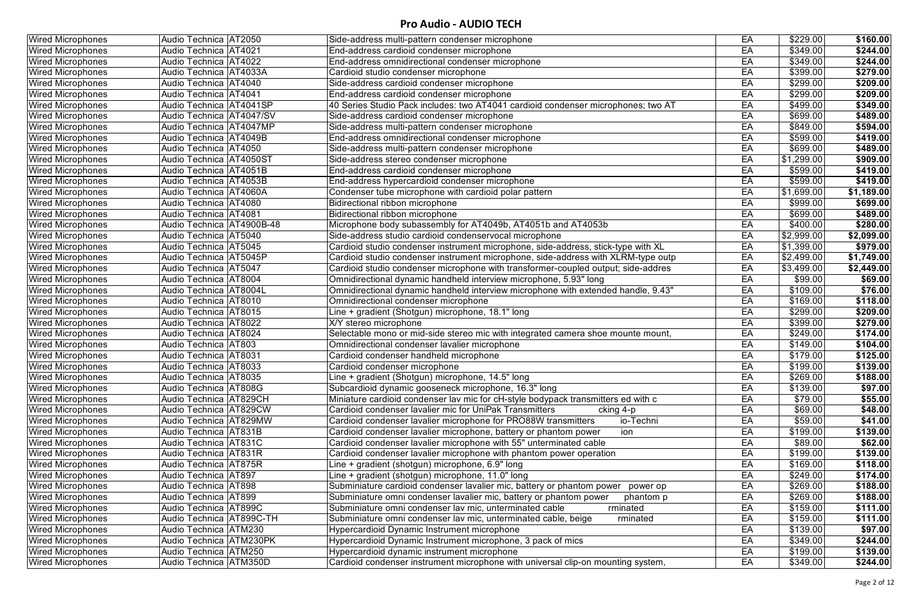| <b>Wired Microphones</b> | Audio Technica   AT2050       | Side-address multi-pattern condenser microphone                                   | EA | \$229.00         | \$160.00   |
|--------------------------|-------------------------------|-----------------------------------------------------------------------------------|----|------------------|------------|
| <b>Wired Microphones</b> | Audio Technica   AT4021       | End-address cardioid condenser microphone                                         | EA | \$349.00         | \$244.00   |
| <b>Wired Microphones</b> | Audio Technica   AT4022       | End-address omnidirectional condenser microphone                                  | EA | \$349.00         | \$244.00   |
| <b>Wired Microphones</b> | Audio Technica   AT4033A      | Cardioid studio condenser microphone                                              | EA | \$399.00         | \$279.00   |
| <b>Wired Microphones</b> | Audio Technica   AT4040       | Side-address cardioid condenser microphone                                        | EA | \$299.00         | \$209.00   |
| <b>Wired Microphones</b> | Audio Technica   AT4041       | End-address cardioid condenser microphone                                         | EA | \$299.00         | \$209.00   |
| <b>Wired Microphones</b> | Audio Technica   AT4041SP     | 40 Series Studio Pack includes: two AT4041 cardioid condenser microphones; two AT | EA | \$499.00         | \$349.00   |
| <b>Wired Microphones</b> | Audio Technica AT4047/SV      | Side-address cardioid condenser microphone                                        | EA | \$699.00         | \$489.00   |
| <b>Wired Microphones</b> | Audio Technica AT4047MP       | Side-address multi-pattern condenser microphone                                   | EA | \$849.00         | \$594.00   |
| <b>Wired Microphones</b> | Audio Technica   AT4049B      | End-address omnidirectional condenser microphone                                  | EA | \$599.00         | \$419.00   |
| <b>Wired Microphones</b> | Audio Technica   AT4050       | Side-address multi-pattern condenser microphone                                   | EA | \$699.00         | \$489.00   |
| <b>Wired Microphones</b> | Audio Technica   AT4050ST     | Side-address stereo condenser microphone                                          | EA | \$1,299.00       | \$909.00   |
| <b>Wired Microphones</b> | Audio Technica   AT4051B      | End-address cardioid condenser microphone                                         | EA | \$599.00         | \$419.00   |
| <b>Wired Microphones</b> | Audio Technica AT4053B        | End-address hypercardioid condenser microphone                                    | EA | \$599.00         | \$419.00   |
| <b>Wired Microphones</b> | Audio Technica   AT4060A      | Condenser tube microphone with cardioid polar pattern                             | EA | \$1,699.00       | \$1,189.00 |
| <b>Wired Microphones</b> | Audio Technica   AT4080       | Bidirectional ribbon microphone                                                   | EA | \$999.00         | \$699.00   |
| <b>Wired Microphones</b> | Audio Technica   AT4081       | Bidirectional ribbon microphone                                                   | EA | \$699.00         | \$489.00   |
| <b>Wired Microphones</b> | Audio Technica   AT4900B-48   | Microphone body subassembly for AT4049b, AT4051b and AT4053b                      | EA | \$400.00         | \$280.00   |
| <b>Wired Microphones</b> | Audio Technica   AT5040       | Side-address studio cardioid condenservocal microphone                            | EA | \$2,999.00       | \$2,099.00 |
| <b>Wired Microphones</b> | Audio Technica AT5045         | Cardioid studio condenser instrument microphone, side-address, stick-type with XL | EA | 51,399.00        | \$979.00   |
| <b>Wired Microphones</b> | Audio Technica AT5045P        | Cardioid studio condenser instrument microphone, side-address with XLRM-type outp | EA | \$2,499.00       | \$1,749.00 |
| <b>Wired Microphones</b> | Audio Technica   AT5047       | Cardioid studio condenser microphone with transformer-coupled output; side-addres | EA | \$3,499.00       | \$2,449.00 |
| <b>Wired Microphones</b> | Audio Technica   AT8004       | Omnidirectional dynamic handheld interview microphone, 5.93" long                 | EA | \$99.00          | \$69.00    |
| <b>Wired Microphones</b> | Audio Technica   AT8004L      | Omnidirectional dynamic handheld interview microphone with extended handle, 9.43" | EA | \$109.00         | \$76.00    |
| <b>Wired Microphones</b> | Audio Technica AT8010         | Omnidirectional condenser microphone                                              | EA | \$169.00         | \$118.00   |
| <b>Wired Microphones</b> | Audio Technica   AT8015       | Line + gradient (Shotgun) microphone, 18.1" long                                  | EA | \$299.00         | \$209.00   |
| <b>Wired Microphones</b> | Audio Technica   AT8022       | X/Y stereo microphone                                                             | EA | \$399.00         | \$279.00   |
| <b>Wired Microphones</b> | Audio Technica   AT8024       | Selectable mono or mid-side stereo mic with integrated camera shoe mounte mount,  | EA | $\sqrt{$249.00}$ | \$174.00   |
| <b>Wired Microphones</b> | Audio Technica AT803          | Omnidirectional condenser lavalier microphone                                     | EA | \$149.00         | \$104.00   |
| <b>Wired Microphones</b> | Audio Technica   AT8031       | Cardioid condenser handheld microphone                                            | EA | \$179.00         | \$125.00   |
| <b>Wired Microphones</b> | Audio Technica   AT8033       | Cardioid condenser microphone                                                     | EA | \$199.00         | \$139.00   |
| <b>Wired Microphones</b> | Audio Technica   AT8035       | Line + gradient (Shotgun) microphone, 14.5" long                                  | EA | \$269.00         | \$188.00   |
| <b>Wired Microphones</b> | Audio Technica   AT808G       | Subcardioid dynamic gooseneck microphone, 16.3" long                              | EA | \$139.00         | \$97.00    |
| <b>Wired Microphones</b> | <b>Audio Technica AT829CH</b> | Miniature cardioid condenser lav mic for cH-style bodypack transmitters ed with c | EA | \$79.00          | \$55.00    |
| <b>Wired Microphones</b> | Audio Technica AT829CW        | Cardioid condenser lavalier mic for UniPak Transmitters<br>cking 4-p              | EA | \$69.00          | \$48.00    |
| <b>Wired Microphones</b> | Audio Technica AT829MW        | io-Techni<br>Cardioid condenser lavalier microphone for PRO88W transmitters       | EA | \$59.00          | \$41.00    |
| <b>Wired Microphones</b> | Audio Technica   AT831B       | Cardioid condenser lavalier microphone, battery or phantom power<br>ion           | EA | \$199.00         | \$139.00   |
| <b>Wired Microphones</b> | Audio Technica   AT831C       | Cardioid condenser lavalier microphone with 55" unterminated cable                | EA | \$89.00          | \$62.00    |
| <b>Wired Microphones</b> | Audio Technica   AT831R       | Cardioid condenser lavalier microphone with phantom power operation               | EA | \$199.00         | \$139.00   |
| <b>Wired Microphones</b> | Audio Technica   AT875R       | Line + gradient (shotgun) microphone, 6.9" long                                   | EA | \$169.00         | \$118.00   |
| <b>Wired Microphones</b> | Audio Technica   AT897        | Line + gradient (shotgun) microphone, 11.0" long                                  | EA | \$249.00         | \$174.00   |
| <b>Wired Microphones</b> | Audio Technica   AT898        | Subminiature cardioid condenser lavalier mic, battery or phantom power power op   | EA | \$269.00         | \$188.00   |
| <b>Wired Microphones</b> | Audio Technica   AT899        | Subminiature omni condenser lavalier mic, battery or phantom power<br>phantom p   | EA | \$269.00         | \$188.00   |
| <b>Wired Microphones</b> | Audio Technica   AT899C       | Subminiature omni condenser lav mic, unterminated cable<br>rminated               | EA | \$159.00         | \$111.00   |
| <b>Wired Microphones</b> | Audio Technica AT899C-TH      | Subminiature omni condenser lav mic, unterminated cable, beige<br>rminated        | EA | \$159.00         | \$111.00   |
| <b>Wired Microphones</b> | Audio Technica   ATM230       | Hypercardioid Dynamic Instrument microphone                                       | EA | \$139.00         | \$97.00    |
| <b>Wired Microphones</b> | Audio Technica   ATM230PK     | Hypercardioid Dynamic Instrument microphone, 3 pack of mics                       | EA | \$349.00         | \$244.00   |
| <b>Wired Microphones</b> | Audio Technica   ATM250       | Hypercardioid dynamic instrument microphone                                       | EA | \$199.00         | \$139.00   |
| <b>Wired Microphones</b> | Audio Technica   ATM350D      | Cardioid condenser instrument microphone with universal clip-on mounting system,  | EA | \$349.00         | \$244.00   |
|                          |                               |                                                                                   |    |                  |            |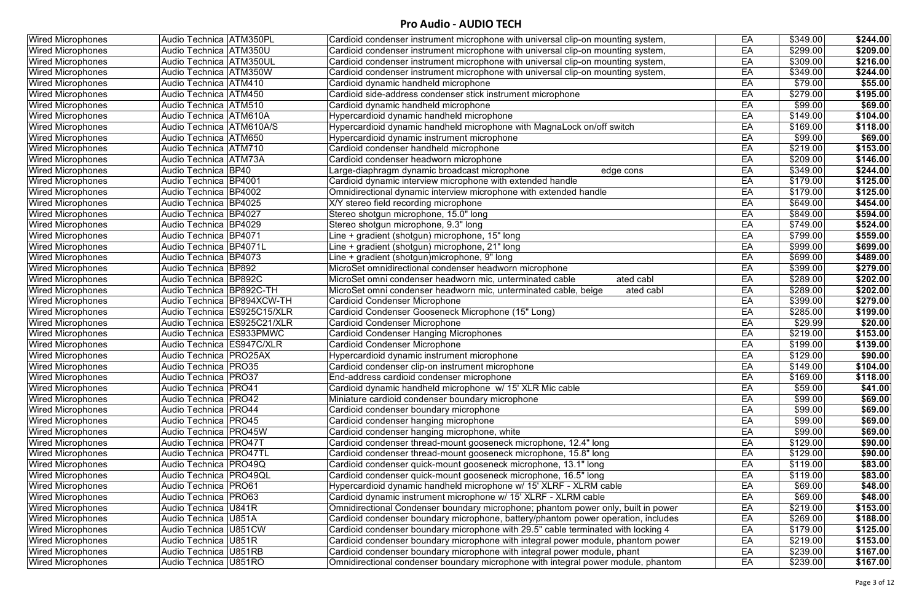| <b>Wired Microphones</b> | Audio Technica   ATM350PL     | Cardioid condenser instrument microphone with universal clip-on mounting system,  | EA | \$349.00 | \$244.00        |
|--------------------------|-------------------------------|-----------------------------------------------------------------------------------|----|----------|-----------------|
| <b>Wired Microphones</b> | Audio Technica ATM350U        | Cardioid condenser instrument microphone with universal clip-on mounting system,  | EA | \$299.00 | \$209.00        |
| <b>Wired Microphones</b> | Audio Technica ATM350UL       | Cardioid condenser instrument microphone with universal clip-on mounting system,  | EA | \$309.00 | \$216.00        |
| <b>Wired Microphones</b> | <b>Audio Technica ATM350W</b> | Cardioid condenser instrument microphone with universal clip-on mounting system,  | EA | \$349.00 | \$244.00        |
| <b>Wired Microphones</b> | Audio Technica ATM410         | Cardioid dynamic handheld microphone                                              | EA | \$79.00  | \$55.00         |
| <b>Wired Microphones</b> | Audio Technica   ATM450       | Cardioid side-address condenser stick instrument microphone                       | EA | \$279.00 | \$195.00        |
| <b>Wired Microphones</b> | Audio Technica   ATM510       | Cardioid dynamic handheld microphone                                              | EA | \$99.00  | \$69.00         |
| <b>Wired Microphones</b> | Audio Technica ATM610A        | Hypercardioid dynamic handheld microphone                                         | EA | \$149.00 | \$104.00        |
| <b>Wired Microphones</b> | Audio Technica   ATM610A/S    | Hypercardioid dynamic handheld microphone with MagnaLock on/off switch            | EA | \$169.00 | \$118.00        |
| <b>Wired Microphones</b> | Audio Technica ATM650         | Hypercardioid dynamic instrument microphone                                       | EA | \$99.00  | \$69.00         |
| <b>Wired Microphones</b> | Audio Technica   ATM710       | Cardioid condenser handheld microphone                                            | EA | \$219.00 | \$153.00        |
| <b>Wired Microphones</b> | Audio Technica   ATM73A       | Cardioid condenser headworn microphone                                            | EA | \$209.00 | \$146.00        |
| <b>Wired Microphones</b> | Audio Technica BP40           | Large-diaphragm dynamic broadcast microphone<br>edge cons                         | EA | \$349.00 | \$244.00        |
| <b>Wired Microphones</b> | Audio Technica   BP4001       | Cardioid dynamic interview microphone with extended handle                        | EA | \$179.00 | \$125.00        |
| <b>Wired Microphones</b> | Audio Technica BP4002         | Omnidirectional dynamic interview microphone with extended handle                 | EA | \$179.00 | \$125.00        |
| <b>Wired Microphones</b> | Audio Technica BP4025         | X/Y stereo field recording microphone                                             | EA | \$649.00 | \$454.00        |
| <b>Wired Microphones</b> | Audio Technica   BP4027       | Stereo shotgun microphone, 15.0" long                                             | EA | \$849.00 | \$594.00        |
| <b>Wired Microphones</b> | Audio Technica BP4029         | Stereo shotgun microphone, 9.3" long                                              | EA | \$749.00 | \$524.00        |
| <b>Wired Microphones</b> | Audio Technica   BP4071       | Line + gradient (shotgun) microphone, 15" long                                    | EA | \$799.00 | \$559.00        |
| <b>Wired Microphones</b> | Audio Technica   BP4071L      | Line + gradient (shotgun) microphone, 21" long                                    | EA | \$999.00 | \$699.00        |
| <b>Wired Microphones</b> | Audio Technica   BP4073       | ine + gradient (shotgun)microphone, 9" long                                       | EA | \$699.00 | \$489.00        |
| <b>Wired Microphones</b> | Audio Technica BP892          | MicroSet omnidirectional condenser headworn microphone                            | EA | \$399.00 | \$279.00        |
| <b>Wired Microphones</b> | Audio Technica BP892C         | ated cabl<br>MicroSet omni condenser headworn mic, unterminated cable             | EA | \$289.00 | \$202.00        |
| <b>Wired Microphones</b> | Audio Technica BP892C-TH      | ated cabl<br>MicroSet omni condenser headworn mic, unterminated cable, beige      | EA | \$289.00 | \$202.00        |
| <b>Wired Microphones</b> | Audio Technica BP894XCW-TH    | <b>Cardioid Condenser Microphone</b>                                              | EA | \$399.00 | \$279.00        |
| <b>Wired Microphones</b> | Audio Technica   ES925C15/XLR | Cardioid Condenser Gooseneck Microphone (15" Long)                                | EA | \$285.00 | \$199.00        |
| <b>Wired Microphones</b> | Audio Technica   ES925C21/XLR | <b>Cardioid Condenser Microphone</b>                                              | EA | \$29.99  | \$20.00         |
| <b>Wired Microphones</b> | Audio Technica   ES933PMWC    | <b>Cardioid Condenser Hanging Microphones</b>                                     | EA | \$219.00 | \$153.00        |
| <b>Wired Microphones</b> | Audio Technica   ES947C/XLR   | <b>Cardioid Condenser Microphone</b>                                              | EA | \$199.00 | \$139.00        |
| <b>Wired Microphones</b> | Audio Technica   PRO25AX      | Hypercardioid dynamic instrument microphone                                       | EA | \$129.00 | \$90.00         |
| <b>Wired Microphones</b> | Audio Technica   PRO35        | Cardioid condenser clip-on instrument microphone                                  | EA | \$149.00 | \$104.00        |
| <b>Wired Microphones</b> | Audio Technica   PRO37        | End-address cardioid condenser microphone                                         | EA | \$169.00 | \$118.00        |
| <b>Wired Microphones</b> | Audio Technica   PRO41        | Cardioid dynamic handheld microphone w/ 15' XLR Mic cable                         | EA | \$59.00  | \$41.00         |
| <b>Wired Microphones</b> | Audio Technica   PRO42        | Miniature cardioid condenser boundary microphone                                  | EA | \$99.00  | \$69.00         |
| <b>Wired Microphones</b> | Audio Technica   PRO44        | Cardioid condenser boundary microphone                                            | EA | \$99.00  | \$69.00         |
| <b>Wired Microphones</b> | Audio Technica   PRO45        | Cardioid condenser hanging microphone                                             | EA | \$99.00  | \$69.00         |
| <b>Wired Microphones</b> | Audio Technica   PRO45W       | Cardioid condenser hanging microphone, white                                      | EA | \$99.00  | \$69.00         |
| <b>Wired Microphones</b> | Audio Technica   PRO47T       | Cardioid condenser thread-mount gooseneck microphone, 12.4" long                  | EA | \$129.00 | \$90.00         |
| <b>Wired Microphones</b> | Audio Technica   PRO47TL      | Cardioid condenser thread-mount gooseneck microphone, 15.8" long                  | EA | \$129.00 | \$90.00         |
| <b>Wired Microphones</b> | Audio Technica   PRO49Q       | Cardioid condenser quick-mount gooseneck microphone, 13.1" long                   | EA | \$119.00 | \$83.00         |
| <b>Wired Microphones</b> | Audio Technica   PRO49QL      | Cardioid condenser quick-mount gooseneck microphone, 16.5" long                   | EA | \$119.00 | \$83.00         |
| <b>Wired Microphones</b> | Audio Technica   PRO61        | Hypercardioid dynamic handheld microphone w/ 15' XLRF - XLRM cable                | EA | \$69.00  | \$48.00         |
| <b>Wired Microphones</b> | Audio Technica   PRO63        | Cardioid dynamic instrument microphone w/ 15' XLRF - XLRM cable                   | EA | \$69.00  | \$48.00         |
| <b>Wired Microphones</b> | Audio Technica   U841R        | Omnidirectional Condenser boundary microphone; phantom power only, built in power | EA | \$219.00 | \$153.00        |
| <b>Wired Microphones</b> | Audio Technica   U851A        | Cardioid condenser boundary microphone, battery/phantom power operation, includes | EA | \$269.00 | \$188.00        |
| <b>Wired Microphones</b> | Audio Technica  U851CW        | Cardioid condenser boundary microphone with 29.5" cable terminated with locking 4 | EA | \$179.00 | \$125.00        |
| <b>Wired Microphones</b> | Audio Technica   U851R        | Cardioid condenser boundary microphone with integral power module, phantom power  | EA | \$219.00 | \$153.00        |
| <b>Wired Microphones</b> | Audio Technica   U851RB       | Cardioid condenser boundary microphone with integral power module, phant          | EA | \$239.00 | \$167.00        |
| <b>Wired Microphones</b> | Audio Technica   U851RO       | Omnidirectional condenser boundary microphone with integral power module, phantom | EA | \$239.00 | $\sqrt{167.00}$ |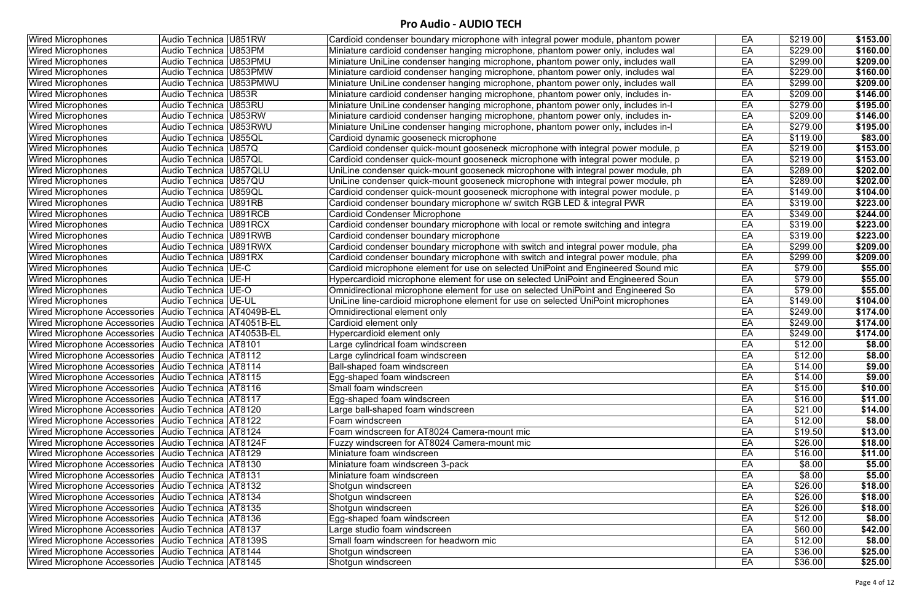| <b>Wired Microphones</b>                                | Audio Technica U851RW       | Cardioid condenser boundary microphone with integral power module, phantom power  | EA | \$219.00 | \$153.00 |
|---------------------------------------------------------|-----------------------------|-----------------------------------------------------------------------------------|----|----------|----------|
| <b>Wired Microphones</b>                                | Audio Technica   U853PM     | Miniature cardioid condenser hanging microphone, phantom power only, includes wal | EA | \$229.00 | \$160.00 |
| <b>Wired Microphones</b>                                | Audio Technica   U853PMU    | Miniature UniLine condenser hanging microphone, phantom power only, includes wall | EA | \$299.00 | \$209.00 |
| <b>Wired Microphones</b>                                | Audio Technica   U853PMW    | Miniature cardioid condenser hanging microphone, phantom power only, includes wal | EA | \$229.00 | \$160.00 |
| <b>Wired Microphones</b>                                | Audio Technica   U853PMWU   | Miniature UniLine condenser hanging microphone, phantom power only, includes wall | EA | \$299.00 | \$209.00 |
| <b>Wired Microphones</b>                                | Audio Technica   U853R      | Miniature cardioid condenser hanging microphone, phantom power only, includes in- | EA | \$209.00 | \$146.00 |
| <b>Wired Microphones</b>                                | Audio Technica   U853RU     | Miniature UniLine condenser hanging microphone, phantom power only, includes in-l | EA | \$279.00 | \$195.00 |
| <b>Wired Microphones</b>                                | Audio Technica   U853RW     | Miniature cardioid condenser hanging microphone, phantom power only, includes in- | EA | \$209.00 | \$146.00 |
| <b>Wired Microphones</b>                                | Audio Technica   U853RWU    | Miniature UniLine condenser hanging microphone, phantom power only, includes in-l | EA | \$279.00 | \$195.00 |
| <b>Wired Microphones</b>                                | Audio Technica   U855QL     | Cardioid dynamic gooseneck microphone                                             | EA | \$119.00 | \$83.00  |
| <b>Wired Microphones</b>                                | Audio Technica   U857Q      | Cardioid condenser quick-mount gooseneck microphone with integral power module, p | EA | \$219.00 | \$153.00 |
| <b>Wired Microphones</b>                                | Audio Technica   U857QL     | Cardioid condenser quick-mount gooseneck microphone with integral power module, p | EA | \$219.00 | \$153.00 |
| <b>Wired Microphones</b>                                | Audio Technica   U857QLU    | UniLine condenser quick-mount gooseneck microphone with integral power module, ph | EA | \$289.00 | \$202.00 |
| <b>Wired Microphones</b>                                | Audio Technica   U857QU     | UniLine condenser quick-mount gooseneck microphone with integral power module, ph | EA | \$289.00 | \$202.00 |
| <b>Wired Microphones</b>                                | Audio Technica   U859QL     | Cardioid condenser quick-mount gooseneck microphone with integral power module, p | EA | \$149.00 | \$104.00 |
| <b>Wired Microphones</b>                                | Audio Technica   U891RB     | Cardioid condenser boundary microphone w/ switch RGB LED & integral PWR           | EA | \$319.00 | \$223.00 |
| <b>Wired Microphones</b>                                | Audio Technica   U891RCB    | <b>Cardioid Condenser Microphone</b>                                              | EA | \$349.00 | \$244.00 |
| <b>Wired Microphones</b>                                | Audio Technica   U891RCX    | Cardioid condenser boundary microphone with local or remote switching and integra | EA | \$319.00 | \$223.00 |
| <b>Wired Microphones</b>                                | Audio Technica   U891RWB    | Cardioid condenser boundary microphone                                            | EA | \$319.00 | \$223.00 |
| <b>Wired Microphones</b>                                | Audio Technica   U891RWX    | Cardioid condenser boundary microphone with switch and integral power module, pha | EA | \$299.00 | \$209.00 |
| <b>Wired Microphones</b>                                | Audio Technica U891RX       | Cardioid condenser boundary microphone with switch and integral power module, pha | EA | \$299.00 | \$209.00 |
| <b>Wired Microphones</b>                                | Audio Technica   UE-C       | Cardioid microphone element for use on selected UniPoint and Engineered Sound mic | EA | \$79.00  | \$55.00  |
| <b>Wired Microphones</b>                                | Audio Technica   UE-H       | Hypercardioid microphone element for use on selected UniPoint and Engineered Soun | EA | \$79.00  | \$55.00  |
| <b>Wired Microphones</b>                                | Audio Technica   UE-O       | Omnidirectional microphone element for use on selected UniPoint and Engineered So | EA | \$79.00  | \$55.00  |
| <b>Wired Microphones</b>                                | Audio Technica   UE-UL      | UniLine line-cardioid microphone element for use on selected UniPoint microphones | EA | \$149.00 | \$104.00 |
| <b>Wired Microphone Accessories</b>                     | Audio Technica AT4049B-EL   | Omnidirectional element only                                                      | EA | \$249.00 | \$174.00 |
| <b>Wired Microphone Accessories</b>                     | Audio Technica   AT4051B-EL | Cardioid element only                                                             | EA | \$249.00 | \$174.00 |
| <b>Wired Microphone Accessories</b>                     | Audio Technica AT4053B-EL   | Hypercardioid element only                                                        | EA | \$249.00 | \$174.00 |
| Wired Microphone Accessories   Audio Technica   AT8101  |                             | Large cylindrical foam windscreen                                                 | EA | \$12.00  | \$8.00   |
| <b>Wired Microphone Accessories</b>                     | Audio Technica   AT8112     | Large cylindrical foam windscreen                                                 | EA | \$12.00  | \$8.00   |
| Wired Microphone Accessories   Audio Technica   AT8114  |                             | Ball-shaped foam windscreen                                                       | EA | \$14.00  | \$9.00   |
| Wired Microphone Accessories   Audio Technica   AT8115  |                             | Egg-shaped foam windscreen                                                        | EA | \$14.00  | \$9.00   |
| Wired Microphone Accessories   Audio Technica   AT8116  |                             | Small foam windscreen                                                             | EA | \$15.00  | \$10.00  |
| Wired Microphone Accessories Audio Technica AT8117      |                             | Egg-shaped foam windscreen                                                        | EA | \$16.00  | \$11.00  |
| Wired Microphone Accessories Audio Technica AT8120      |                             | arge ball-shaped foam windscreen                                                  | EA | \$21.00  | \$14.00  |
| Wired Microphone Accessories   Audio Technica   AT8122  |                             | Foam windscreen                                                                   | EA | \$12.00  | \$8.00   |
| Wired Microphone Accessories   Audio Technica   AT8124  |                             | Foam windscreen for AT8024 Camera-mount mic                                       | EA | \$19.50  | \$13.00  |
| Wired Microphone Accessories   Audio Technica   AT8124F |                             | Fuzzy windscreen for AT8024 Camera-mount mic                                      | EA | \$26.00  | \$18.00  |
| Wired Microphone Accessories Audio Technica AT8129      |                             | Miniature foam windscreen                                                         | EA | \$16.00  | \$11.00  |
| Wired Microphone Accessories Audio Technica AT8130      |                             | Miniature foam windscreen 3-pack                                                  | EA | \$8.00   | \$5.00   |
| Wired Microphone Accessories   Audio Technica   AT8131  |                             | Miniature foam windscreen                                                         | EA | \$8.00   | \$5.00   |
| Wired Microphone Accessories   Audio Technica   AT8132  |                             | Shotgun windscreen                                                                | EA | \$26.00  | \$18.00  |
| Wired Microphone Accessories   Audio Technica   AT8134  |                             | Shotgun windscreen                                                                | EA | \$26.00  | \$18.00  |
| Wired Microphone Accessories Audio Technica AT8135      |                             | Shotgun windscreen                                                                | EA | \$26.00  | \$18.00  |
| Wired Microphone Accessories   Audio Technica   AT8136  |                             | Egg-shaped foam windscreen                                                        | EA | \$12.00  | \$8.00   |
| Wired Microphone Accessories   Audio Technica   AT8137  |                             | arge studio foam windscreen                                                       | EA | \$60.00  | \$42.00  |
| Wired Microphone Accessories   Audio Technica   AT8139S |                             | Small foam windscreen for headworn mic                                            | EA | \$12.00  | \$8.00   |
| Wired Microphone Accessories   Audio Technica   AT8144  |                             | Shotgun windscreen                                                                | EA | \$36.00  | \$25.00  |
| Wired Microphone Accessories   Audio Technica   AT8145  |                             | Shotgun windscreen                                                                | EA | \$36.00  | \$25.00  |
|                                                         |                             |                                                                                   |    |          |          |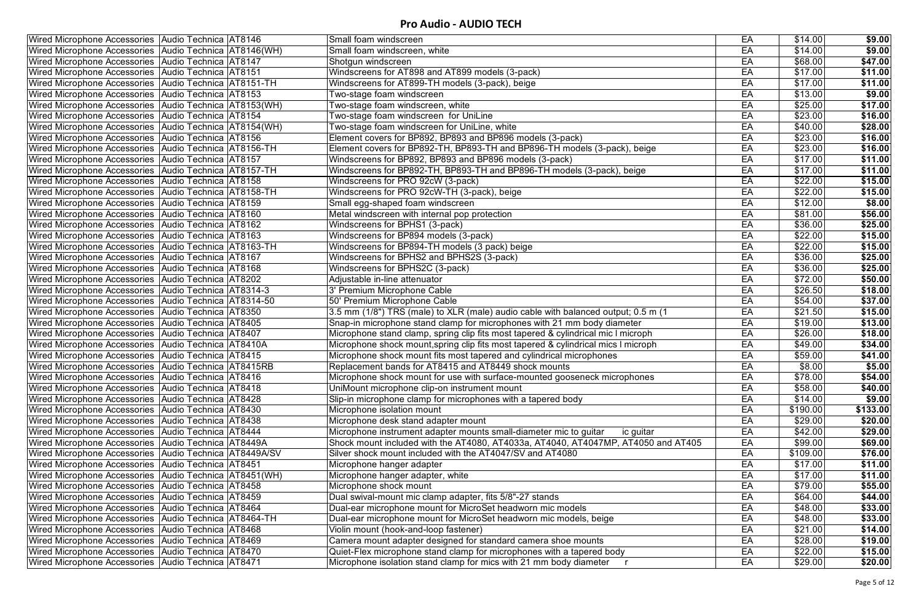| Wired Microphone Accessories   Audio Technica   AT8146      | Small foam windscreen                                                              | EA | \$14.00  | \$9.00   |
|-------------------------------------------------------------|------------------------------------------------------------------------------------|----|----------|----------|
| Wired Microphone Accessories   Audio Technica   AT8146 (WH) | Small foam windscreen, white                                                       | EA | \$14.00  | \$9.00   |
| Wired Microphone Accessories Audio Technica AT8147          | Shotgun windscreen                                                                 | EA | \$68.00  | \$47.00  |
| Wired Microphone Accessories   Audio Technica   AT8151      | Windscreens for AT898 and AT899 models (3-pack)                                    | EA | \$17.00  | \$11.00  |
| Wired Microphone Accessories   Audio Technica   AT8151-TH   | Windscreens for AT899-TH models (3-pack), beige                                    | EA | \$17.00  | \$11.00  |
| Wired Microphone Accessories   Audio Technica   AT8153      | Two-stage foam windscreen                                                          | EA | \$13.00  | \$9.00   |
| Wired Microphone Accessories   Audio Technica   AT8153(WH)  | Two-stage foam windscreen, white                                                   | EA | \$25.00  | \$17.00  |
| Wired Microphone Accessories   Audio Technica   AT8154      | Two-stage foam windscreen for UniLine                                              | EA | \$23.00  | \$16.00  |
| Wired Microphone Accessories Audio Technica AT8154(WH)      | Two-stage foam windscreen for UniLine, white                                       | EA | \$40.00  | \$28.00  |
| Wired Microphone Accessories Audio Technica AT8156          | Element covers for BP892, BP893 and BP896 models (3-pack)                          | EA | \$23.00  | \$16.00  |
| Wired Microphone Accessories   Audio Technica   AT8156-TH   | Element covers for BP892-TH, BP893-TH and BP896-TH models (3-pack), beige          | EA | \$23.00  | \$16.00  |
| Wired Microphone Accessories   Audio Technica   AT8157      | Windscreens for BP892, BP893 and BP896 models (3-pack)                             | EA | \$17.00  | \$11.00  |
| Wired Microphone Accessories   Audio Technica   AT8157-TH   | Windscreens for BP892-TH, BP893-TH and BP896-TH models (3-pack), beige             | EA | \$17.00  | \$11.00  |
| Wired Microphone Accessories   Audio Technica   AT8158      | Windscreens for PRO 92cW (3-pack)                                                  | EA | \$22.00  | \$15.00  |
| Wired Microphone Accessories   Audio Technica   AT8158-TH   | Windscreens for PRO 92cW-TH (3-pack), beige                                        | EA | \$22.00  | \$15.00  |
| Wired Microphone Accessories   Audio Technica   AT8159      | Small egg-shaped foam windscreen                                                   | EA | \$12.00  | \$8.00   |
| Wired Microphone Accessories   Audio Technica   AT8160      | Metal windscreen with internal pop protection                                      | EA | \$81.00  | \$56.00  |
| Wired Microphone Accessories   Audio Technica   AT8162      | Windscreens for BPHS1 (3-pack)                                                     | EA | \$36.00  | \$25.00  |
| Wired Microphone Accessories   Audio Technica   AT8163      | Windscreens for BP894 models (3-pack)                                              | EA | \$22.00  | \$15.00  |
| Wired Microphone Accessories   Audio Technica   AT8163-TH   | Windscreens for BP894-TH models (3 pack) beige                                     | EA | \$22.00  | \$15.00  |
| Wired Microphone Accessories   Audio Technica   AT8167      | Windscreens for BPHS2 and BPHS2S (3-pack)                                          | EA | \$36.00  | \$25.00  |
| Wired Microphone Accessories Audio Technica AT8168          | Windscreens for BPHS2C (3-pack)                                                    | EA | \$36.00  | \$25.00  |
| Wired Microphone Accessories Audio Technica AT8202          | Adjustable in-line attenuator                                                      | EA | \$72.00  | \$50.00  |
| Wired Microphone Accessories   Audio Technica   AT8314-3    | 3' Premium Microphone Cable                                                        | EA | \$26.50  | \$18.00  |
| Wired Microphone Accessories   Audio Technica   AT8314-50   | 50' Premium Microphone Cable                                                       | EA | \$54.00  | \$37.00  |
| Wired Microphone Accessories   Audio Technica   AT8350      | 3.5 mm (1/8") TRS (male) to XLR (male) audio cable with balanced output; 0.5 m (1  | EA | \$21.50  | \$15.00  |
| Wired Microphone Accessories   Audio Technica   AT8405      | Snap-in microphone stand clamp for microphones with 21 mm body diameter            | EA | \$19.00  | \$13.00  |
| Wired Microphone Accessories   Audio Technica   AT8407      | Microphone stand clamp, spring clip fits most tapered & cylindrical mic I microph  | EA | \$26.00  | \$18.00  |
| Wired Microphone Accessories   Audio Technica   AT8410A     | Microphone shock mount, spring clip fits most tapered & cylindrical mics I microph | EA | \$49.00  | \$34.00  |
| Wired Microphone Accessories   Audio Technica   AT8415      | Microphone shock mount fits most tapered and cylindrical microphones               | EA | \$59.00  | \$41.00  |
| Wired Microphone Accessories   Audio Technica   AT8415RB    | Replacement bands for AT8415 and AT8449 shock mounts                               | EA | \$8.00   | \$5.00   |
| Wired Microphone Accessories Audio Technica AT8416          | Microphone shock mount for use with surface-mounted gooseneck microphones          | EA | \$78.00  | \$54.00  |
| Wired Microphone Accessories Audio Technica AT8418          | UniMount microphone clip-on instrument mount                                       | EA | \$58.00  | \$40.00  |
| Wired Microphone Accessories Audio Technica AT8428          | Slip-in microphone clamp for microphones with a tapered body                       | EA | \$14.00  | \$9.00   |
| Wired Microphone Accessories Audio Technica AT8430          | Microphone isolation mount                                                         | EA | \$190.00 | \$133.00 |
| Wired Microphone Accessories Audio Technica AT8438          | Microphone desk stand adapter mount                                                | EA | \$29.00  | \$20.00  |
| Wired Microphone Accessories Audio Technica AT8444          | Microphone instrument adapter mounts small-diameter mic to guitar<br>ic guitar     | EA | \$42.00  | \$29.00  |
| Wired Microphone Accessories Audio Technica AT8449A         | Shock mount included with the AT4080, AT4033a, AT4040, AT4047MP, AT4050 and AT405  | EA | \$99.00  | \$69.00  |
| Wired Microphone Accessories   Audio Technica   AT8449A/SV  | Silver shock mount included with the AT4047/SV and AT4080                          | EA | \$109.00 | \$76.00  |
| Wired Microphone Accessories   Audio Technica   AT8451      | Microphone hanger adapter                                                          | EA | \$17.00  | \$11.00  |
| Wired Microphone Accessories   Audio Technica   AT8451 (WH) | Microphone hanger adapter, white                                                   | EA | \$17.00  | \$11.00  |
| Wired Microphone Accessories Audio Technica AT8458          | Microphone shock mount                                                             | EA | \$79.00  | \$55.00  |
| Wired Microphone Accessories   Audio Technica   AT8459      | Dual swival-mount mic clamp adapter, fits 5/8"-27 stands                           | EA | \$64.00  | \$44.00  |
| Wired Microphone Accessories   Audio Technica   AT8464      | Dual-ear microphone mount for MicroSet headworn mic models                         | EA | \$48.00  | \$33.00  |
| Wired Microphone Accessories   Audio Technica   AT8464-TH   | Dual-ear microphone mount for MicroSet headworn mic models, beige                  | EA | \$48.00  | \$33.00  |
| Wired Microphone Accessories   Audio Technica   AT8468      | Violin mount (hook-and-loop fastener)                                              | EA | \$21.00  | \$14.00  |
| Wired Microphone Accessories   Audio Technica   AT8469      | Camera mount adapter designed for standard camera shoe mounts                      | EA | \$28.00  | \$19.00  |
| Wired Microphone Accessories Audio Technica AT8470          | Quiet-Flex microphone stand clamp for microphones with a tapered body              | EA | \$22.00  | \$15.00  |
| Wired Microphone Accessories   Audio Technica   AT8471      | Microphone isolation stand clamp for mics with 21 mm body diameter r               | EA | \$29.00  | \$20.00  |
|                                                             |                                                                                    |    |          |          |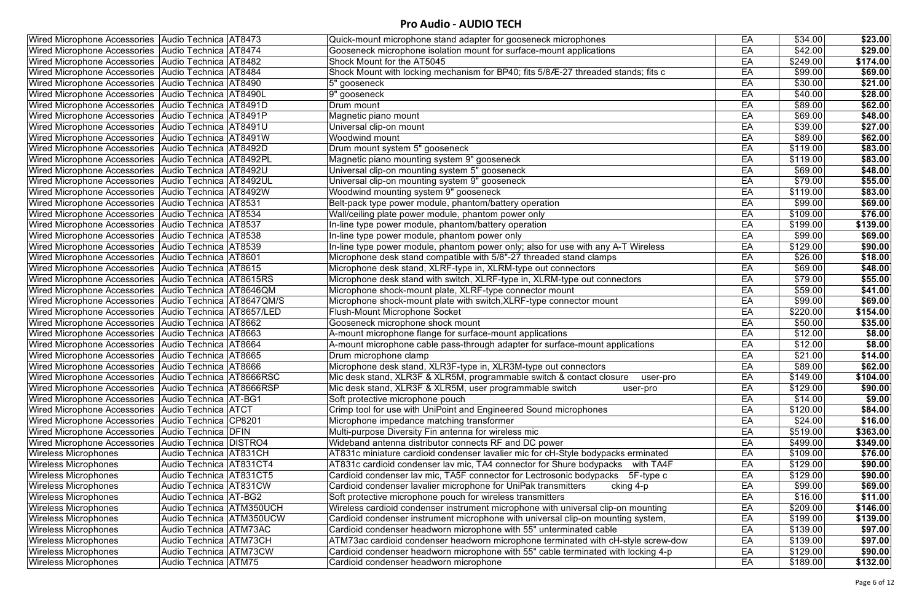| Wired Microphone Accessories Audio Technica AT8473         |                               | Quick-mount microphone stand adapter for gooseneck microphones                     | EA | \$34.00  | \$23.00         |
|------------------------------------------------------------|-------------------------------|------------------------------------------------------------------------------------|----|----------|-----------------|
| Wired Microphone Accessories Audio Technica AT8474         |                               | Gooseneck microphone isolation mount for surface-mount applications                | EA | \$42.00  | \$29.00         |
| Wired Microphone Accessories   Audio Technica   AT8482     |                               | Shock Mount for the AT5045                                                         | EA | \$249.00 | \$174.00        |
| Wired Microphone Accessories   Audio Technica   AT8484     |                               | Shock Mount with locking mechanism for BP40; fits 5/8/E-27 threaded stands; fits c | EA | \$99.00  | \$69.00         |
| Wired Microphone Accessories Audio Technica AT8490         |                               | 5" gooseneck                                                                       | EA | \$30.00  | \$21.00         |
| Wired Microphone Accessories   Audio Technica   AT8490L    |                               | 9" gooseneck                                                                       | EA | \$40.00  | \$28.00         |
| Wired Microphone Accessories   Audio Technica   AT8491D    |                               | Drum mount                                                                         | EA | \$89.00  | \$62.00         |
| Wired Microphone Accessories   Audio Technica   AT8491P    |                               | Magnetic piano mount                                                               | EA | \$69.00  | \$48.00         |
| Wired Microphone Accessories Audio Technica AT8491U        |                               | Universal clip-on mount                                                            | EA | \$39.00  | $\sqrt{$27.00}$ |
| Wired Microphone Accessories Audio Technica AT8491W        |                               | <b>Woodwind mount</b>                                                              | EA | \$89.00  | \$62.00         |
| Wired Microphone Accessories Audio Technica AT8492D        |                               | Drum mount system 5" gooseneck                                                     | EA | \$119.00 | \$83.00         |
| Wired Microphone Accessories   Audio Technica   AT8492PL   |                               | Magnetic piano mounting system 9" gooseneck                                        | EA | \$119.00 | \$83.00         |
| Wired Microphone Accessories   Audio Technica   AT8492U    |                               | Universal clip-on mounting system 5" gooseneck                                     | EA | \$69.00  | \$48.00         |
| Wired Microphone Accessories   Audio Technica   AT8492UL   |                               | Universal clip-on mounting system 9" gooseneck                                     | EA | \$79.00  | \$55.00         |
| Wired Microphone Accessories   Audio Technica   AT8492W    |                               | Woodwind mounting system 9" gooseneck                                              | EA | \$119.00 | \$83.00         |
| Wired Microphone Accessories   Audio Technica   AT8531     |                               | Belt-pack type power module, phantom/battery operation                             | EA | \$99.00  | \$69.00         |
| Wired Microphone Accessories   Audio Technica   AT8534     |                               | Wall/ceiling plate power module, phantom power only                                | EA | \$109.00 | \$76.00         |
| Wired Microphone Accessories Audio Technica AT8537         |                               | In-line type power module, phantom/battery operation                               | EA | \$199.00 | \$139.00        |
| Wired Microphone Accessories Audio Technica AT8538         |                               | In-line type power module, phantom power only                                      | EA | \$99.00  | \$69.00         |
| Wired Microphone Accessories Audio Technica AT8539         |                               | In-line type power module, phantom power only; also for use with any A-T Wireless  | EA | \$129.00 | \$90.00         |
| Wired Microphone Accessories Audio Technica AT8601         |                               | Microphone desk stand compatible with 5/8"-27 threaded stand clamps                | EA | \$26.00  | \$18.00         |
| Wired Microphone Accessories   Audio Technica   AT8615     |                               | Microphone desk stand, XLRF-type in, XLRM-type out connectors                      | EA | \$69.00  | \$48.00         |
| Wired Microphone Accessories Audio Technica AT8615RS       |                               | Microphone desk stand with switch, XLRF-type in, XLRM-type out connectors          | EA | \$79.00  | \$55.00         |
| Wired Microphone Accessories   Audio Technica   AT8646QM   |                               | Microphone shock-mount plate, XLRF-type connector mount                            | EA | \$59.00  | \$41.00         |
| Wired Microphone Accessories   Audio Technica   AT8647QM/S |                               | Microphone shock-mount plate with switch, XLRF-type connector mount                | EA | \$99.00  | \$69.00         |
| Wired Microphone Accessories   Audio Technica   AT8657/LED |                               | <b>Flush-Mount Microphone Socket</b>                                               | EA | \$220.00 | \$154.00        |
| Wired Microphone Accessories   Audio Technica   AT8662     |                               | Gooseneck microphone shock mount                                                   | EA | \$50.00  | \$35.00         |
| Wired Microphone Accessories   Audio Technica   AT8663     |                               | A-mount microphone flange for surface-mount applications                           | EA | \$12.00  | \$8.00          |
| Wired Microphone Accessories Audio Technica AT8664         |                               | A-mount microphone cable pass-through adapter for surface-mount applications       | EA | \$12.00  | \$8.00          |
| Wired Microphone Accessories Audio Technica AT8665         |                               | Drum microphone clamp                                                              | EA | \$21.00  | \$14.00         |
| Wired Microphone Accessories   Audio Technica   AT8666     |                               | Microphone desk stand, XLR3F-type in, XLR3M-type out connectors                    | EA | \$89.00  | \$62.00         |
| Wired Microphone Accessories Audio Technica AT8666RSC      |                               | Mic desk stand, XLR3F & XLR5M, programmable switch & contact closure<br>user-pro   | EA | \$149.00 | \$104.00        |
| Wired Microphone Accessories   Audio Technica   AT8666RSP  |                               | Mic desk stand, XLR3F & XLR5M, user programmable switch<br>user-pro                | EA | \$129.00 | \$90.00         |
| Wired Microphone Accessories   Audio Technica   AT-BG1     |                               | Soft protective microphone pouch                                                   | EA | \$14.00  | \$9.00          |
| Wired Microphone Accessories   Audio Technica   ATCT       |                               | Crimp tool for use with UniPoint and Engineered Sound microphones                  | EA | \$120.00 | \$84.00         |
| Wired Microphone Accessories Audio Technica CP8201         |                               | Microphone impedance matching transformer                                          | EA | \$24.00  | \$16.00         |
| Wired Microphone Accessories   Audio Technica   DFIN       |                               | Multi-purpose Diversity Fin antenna for wireless mic                               | EA | \$519.00 | \$363.00        |
| Wired Microphone Accessories   Audio Technica   DISTRO4    |                               | Wideband antenna distributor connects RF and DC power                              | EA | \$499.00 | \$349.00        |
| <b>Wireless Microphones</b>                                | Audio Technica AT831CH        | AT831c miniature cardioid condenser lavalier mic for cH-Style bodypacks erminated  | EA | \$109.00 | \$76.00         |
| <b>Wireless Microphones</b>                                | Audio Technica AT831CT4       | AT831c cardioid condenser lav mic, TA4 connector for Shure bodypacks<br>with TA4F  | EA | \$129.00 | \$90.00         |
| <b>Wireless Microphones</b>                                | Audio Technica   AT831CT5     | Cardioid condenser lav mic, TA5F connector for Lectrosonic bodypacks 5F-type c     | EA | \$129.00 | \$90.00         |
| <b>Wireless Microphones</b>                                | <b>Audio Technica AT831CW</b> | Cardioid condenser lavalier microphone for UniPak transmitters<br>cking 4-p        | EA | \$99.00  | \$69.00         |
| <b>Wireless Microphones</b>                                | Audio Technica   AT-BG2       | Soft protective microphone pouch for wireless transmitters                         | EA | \$16.00  | \$11.00         |
| <b>Wireless Microphones</b>                                | Audio Technica   ATM350UCH    | Wireless cardioid condenser instrument microphone with universal clip-on mounting  | EA | \$209.00 | \$146.00        |
| <b>Wireless Microphones</b>                                | Audio Technica ATM350UCW      | Cardioid condenser instrument microphone with universal clip-on mounting system,   | EA | \$199.00 | \$139.00        |
| <b>Wireless Microphones</b>                                | Audio Technica ATM73AC        | Cardioid condenser headworn microphone with 55" unterminated cable                 | EA | \$139.00 | \$97.00         |
| <b>Wireless Microphones</b>                                | Audio Technica   ATM73CH      | ATM73ac cardioid condenser headworn microphone terminated with cH-style screw-dow  | EA | \$139.00 | \$97.00         |
| <b>Wireless Microphones</b>                                | Audio Technica   ATM73CW      | Cardioid condenser headworn microphone with 55" cable terminated with locking 4-p  | EA | \$129.00 | \$90.00         |
| <b>Wireless Microphones</b>                                | Audio Technica   ATM75        | Cardioid condenser headworn microphone                                             | EA | \$189.00 | \$132.00        |
|                                                            |                               |                                                                                    |    |          |                 |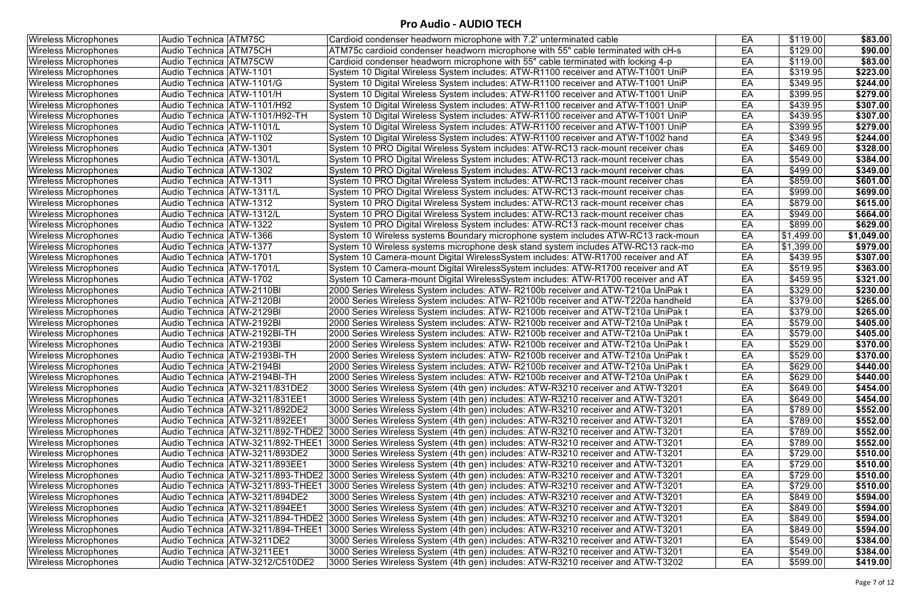| <b>Wireless Microphones</b> | <b>Audio Technica ATM75C</b>        | Cardioid condenser headworn microphone with 7.2' unterminated cable                                                  | EA | \$119.00         | \$83.00    |
|-----------------------------|-------------------------------------|----------------------------------------------------------------------------------------------------------------------|----|------------------|------------|
| <b>Wireless Microphones</b> | Audio Technica   ATM75CH            | ATM75c cardioid condenser headworn microphone with 55" cable terminated with cH-s                                    | EA | \$129.00         | \$90.00    |
| <b>Wireless Microphones</b> | Audio Technica ATM75CW              | Cardioid condenser headworn microphone with 55" cable terminated with locking 4-p                                    | EA | \$119.00         | \$83.00    |
| <b>Wireless Microphones</b> | Audio Technica   ATW-1101           | System 10 Digital Wireless System includes: ATW-R1100 receiver and ATW-T1001 UniP                                    | EA | \$319.95         | \$223.00   |
| <b>Wireless Microphones</b> | Audio Technica   ATW-1101/G         | System 10 Digital Wireless System includes: ATW-R1100 receiver and ATW-T1001 UniP                                    | EA | \$349.95         | \$244.00   |
| <b>Wireless Microphones</b> | Audio Technica   ATW-1101/H         | System 10 Digital Wireless System includes: ATW-R1100 receiver and ATW-T1001 UniP                                    | EA | \$399.95         | \$279.00   |
| Wireless Microphones        | Audio Technica   ATW-1101/H92       | System 10 Digital Wireless System includes: ATW-R1100 receiver and ATW-T1001 UniP                                    | EA | \$439.95         | \$307.00   |
| <b>Wireless Microphones</b> | Audio Technica   ATW-1101/H92-TH    | System 10 Digital Wireless System includes: ATW-R1100 receiver and ATW-T1001 UniP                                    | EA | \$439.95         | \$307.00   |
| <b>Wireless Microphones</b> | Audio Technica ATW-1101/L           | System 10 Digital Wireless System includes: ATW-R1100 receiver and ATW-T1001 UniP                                    | EA | \$399.95         | \$279.00   |
| <b>Wireless Microphones</b> | Audio Technica   ATW-1102           | System 10 Digital Wireless System includes: ATW-R1100 receiver and ATW-T1002 hand                                    | EA | $\sqrt{$349.95}$ | \$244.00   |
| <b>Wireless Microphones</b> | Audio Technica   ATW-1301           | System 10 PRO Digital Wireless System includes: ATW-RC13 rack-mount receiver chas                                    | EA | \$469.00         | \$328.00   |
| <b>Wireless Microphones</b> | Audio Technica   ATW-1301/L         | System 10 PRO Digital Wireless System includes: ATW-RC13 rack-mount receiver chas                                    | EA | \$549.00         | \$384.00   |
| <b>Wireless Microphones</b> | Audio Technica   ATW-1302           | System 10 PRO Digital Wireless System includes: ATW-RC13 rack-mount receiver chas                                    | EA | \$499.00         | \$349.00   |
| <b>Wireless Microphones</b> | Audio Technica   ATW-1311           | System 10 PRO Digital Wireless System includes: ATW-RC13 rack-mount receiver chas                                    | EA | \$859.00         | \$601.00   |
| <b>Wireless Microphones</b> | Audio Technica   ATW-1311/L         | System 10 PRO Digital Wireless System includes: ATW-RC13 rack-mount receiver chas                                    | EA | \$999.00         | \$699.00   |
| <b>Wireless Microphones</b> | Audio Technica ATW-1312             | System 10 PRO Digital Wireless System includes: ATW-RC13 rack-mount receiver chas                                    | EA | \$879.00         | \$615.00   |
| <b>Wireless Microphones</b> | Audio Technica   ATW-1312/L         | System 10 PRO Digital Wireless System includes: ATW-RC13 rack-mount receiver chas                                    | EA | \$949.00         | \$664.00   |
| <b>Wireless Microphones</b> | Audio Technica   ATW-1322           | System 10 PRO Digital Wireless System includes: ATW-RC13 rack-mount receiver chas                                    | EA | \$899.00         | \$629.00   |
| <b>Wireless Microphones</b> | Audio Technica   ATW-1366           | System 10 Wireless systems Boundary microphone system includes ATW-RC13 rack-moun                                    | EA | \$1,499.00       | \$1,049.00 |
| <b>Wireless Microphones</b> | Audio Technica   ATW-1377           | System 10 Wireless systems microphone desk stand system includes ATW-RC13 rack-mo                                    | EA | \$1,399.00       | \$979.00   |
| <b>Wireless Microphones</b> | Audio Technica   ATW-1701           | System 10 Camera-mount Digital WirelessSystem includes: ATW-R1700 receiver and AT                                    | EA | \$439.95         | \$307.00   |
| <b>Wireless Microphones</b> | Audio Technica   ATW-1701/L         | System 10 Camera-mount Digital WirelessSystem includes: ATW-R1700 receiver and AT                                    | EA | \$519.95         | \$363.00   |
| <b>Wireless Microphones</b> | Audio Technica   ATW-1702           | System 10 Camera-mount Digital WirelessSystem includes: ATW-R1700 receiver and AT                                    | EA | \$459.95         | \$321.00   |
| Wireless Microphones        | Audio Technica   ATW-2110BI         | 2000 Series Wireless System includes: ATW- R2100b receiver and ATW-T210a UniPak t                                    | EA | \$329.00         | \$230.00   |
| Wireless Microphones        | Audio Technica   ATW-2120BI         | 2000 Series Wireless System includes: ATW-R2100b receiver and ATW-T220a handheld                                     | EA | \$379.00         | \$265.00   |
| <b>Wireless Microphones</b> | Audio Technica   ATW-2129BI         | 2000 Series Wireless System includes: ATW- R2100b receiver and ATW-T210a UniPak t                                    | EA | \$379.00         | \$265.00   |
| <b>Wireless Microphones</b> | Audio Technica   ATW-2192BI         | 2000 Series Wireless System includes: ATW- R2100b receiver and ATW-T210a UniPak t                                    | EA | \$579.00         | \$405.00   |
| <b>Wireless Microphones</b> | Audio Technica   ATW-2192BI-TH      | 2000 Series Wireless System includes: ATW- R2100b receiver and ATW-T210a UniPak t                                    | EA | \$579.00         | \$405.00   |
| <b>Wireless Microphones</b> | Audio Technica   ATW-2193BI         | 2000 Series Wireless System includes: ATW- R2100b receiver and ATW-T210a UniPak f                                    | EA | \$529.00         | \$370.00   |
| Wireless Microphones        | Audio Technica   ATW-2193BI-TH      | 2000 Series Wireless System includes: ATW- R2100b receiver and ATW-T210a UniPak t                                    | EA | \$529.00         | \$370.00   |
| <b>Wireless Microphones</b> | Audio Technica   ATW-2194BI         | 2000 Series Wireless System includes: ATW- R2100b receiver and ATW-T210a UniPak t                                    | EA | \$629.00         | \$440.00   |
| Wireless Microphones        | Audio Technica   ATW-2194BI-TH      | 2000 Series Wireless System includes: ATW- R2100b receiver and ATW-T210a UniPak t                                    | EA | \$629.00         | \$440.00   |
| <b>Wireless Microphones</b> | Audio Technica   ATW-3211/831DE2    | 3000 Series Wireless System (4th gen) includes: ATW-R3210 receiver and ATW-T3201                                     | EA | \$649.00         | \$454.00   |
| <b>Wireless Microphones</b> | Audio Technica   ATW-3211/831EE1    | 3000 Series Wireless System (4th gen) includes: ATW-R3210 receiver and ATW-T3201                                     | EA | \$649.00         | \$454.00   |
| <b>Wireless Microphones</b> | Audio Technica   ATW-3211/892DE2    | 3000 Series Wireless System (4th gen) includes: ATW-R3210 receiver and ATW-T3201                                     | EA | \$789.00         | \$552.00   |
| Wireless Microphones        | Audio Technica ATW-3211/892EE1      | 3000 Series Wireless System (4th gen) includes: ATW-R3210 receiver and ATW-T3201                                     | EA | \$789.00         | \$552.00   |
| <b>Wireless Microphones</b> |                                     | Audio Technica  ATW-3211/892-THDE2  3000 Series Wireless System (4th gen) includes: ATW-R3210 receiver and ATW-T3201 | EA | \$789.00         | \$552.00   |
| <b>Wireless Microphones</b> | Audio Technica   ATW-3211/892-THEE1 | 3000 Series Wireless System (4th gen) includes: ATW-R3210 receiver and ATW-T3201                                     | EA | \$789.00         | \$552.00   |
| <b>Wireless Microphones</b> | Audio Technica   ATW-3211/893DE2    | 3000 Series Wireless System (4th gen) includes: ATW-R3210 receiver and ATW-T3201                                     | EA | \$729.00         | \$510.00   |
| <b>Wireless Microphones</b> | Audio Technica   ATW-3211/893EE1    | 3000 Series Wireless System (4th gen) includes: ATW-R3210 receiver and ATW-T3201                                     | EA | \$729.00         | \$510.00   |
| Wireless Microphones        |                                     | Audio Technica (ATW-3211/893-THDE2 (3000 Series Wireless System (4th gen) includes: ATW-R3210 receiver and ATW-T3201 | EA | \$729.00         | \$510.00   |
| <b>Wireless Microphones</b> | Audio Technica   ATW-3211/893-THEE1 | [3000 Series Wireless System (4th gen) includes: ATW-R3210 receiver and ATW-T3201                                    | EA | \$729.00         | \$510.00   |
| <b>Wireless Microphones</b> | Audio Technica   ATW-3211/894DE2    | 3000 Series Wireless System (4th gen) includes: ATW-R3210 receiver and ATW-T3201                                     | EA | \$849.00         | \$594.00   |
| <b>Wireless Microphones</b> | Audio Technica ATW-3211/894EE1      | 3000 Series Wireless System (4th gen) includes: ATW-R3210 receiver and ATW-T3201                                     | EA | \$849.00         | \$594.00   |
| <b>Wireless Microphones</b> |                                     | Audio Technica  ATW-3211/894-THDE2  3000 Series Wireless System (4th gen) includes: ATW-R3210 receiver and ATW-T3201 | EA | \$849.00         | \$594.00   |
| Wireless Microphones        | Audio Technica   ATW-3211/894-THEE1 | [3000 Series Wireless System (4th gen) includes: ATW-R3210 receiver and ATW-T3201                                    | EA | \$849.00         | \$594.00   |
| <b>Wireless Microphones</b> | Audio Technica   ATW-3211DE2        | 3000 Series Wireless System (4th gen) includes: ATW-R3210 receiver and ATW-T3201                                     | EA | \$549.00         | \$384.00   |
| <b>Wireless Microphones</b> | Audio Technica ATW-3211EE1          | 3000 Series Wireless System (4th gen) includes: ATW-R3210 receiver and ATW-T3201                                     | EA | \$549.00         | \$384.00   |
| <b>Wireless Microphones</b> | Audio Technica   ATW-3212/C510DE2   | 3000 Series Wireless System (4th gen) includes: ATW-R3210 receiver and ATW-T3202                                     | EA | \$599.00         | \$419.00   |
|                             |                                     |                                                                                                                      |    |                  |            |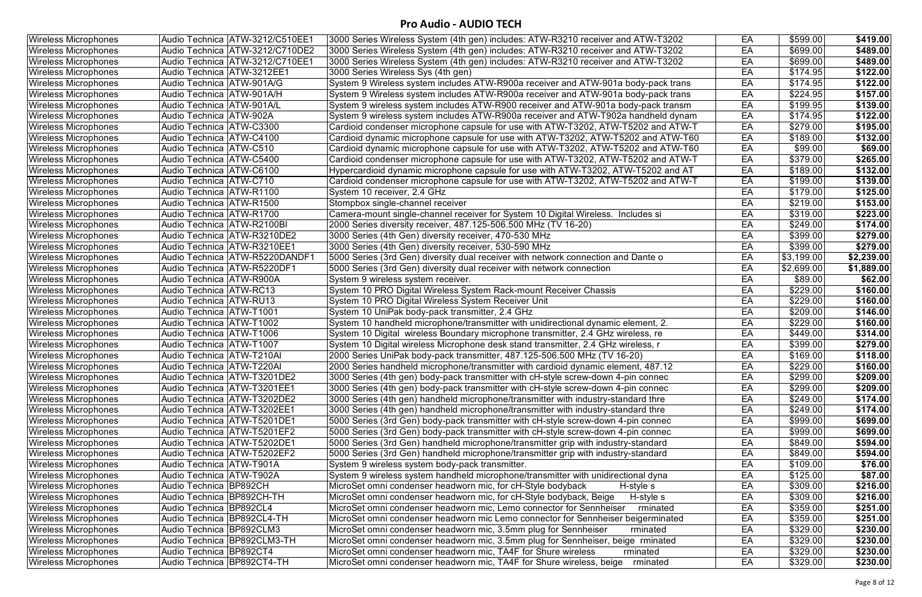| <b>Wireless Microphones</b> | Audio Technica ATW-3212/C510EE1   | 3000 Series Wireless System (4th gen) includes: ATW-R3210 receiver and ATW-T3202  | EA | \$599.00   | \$419.00   |
|-----------------------------|-----------------------------------|-----------------------------------------------------------------------------------|----|------------|------------|
| <b>Wireless Microphones</b> | Audio Technica   ATW-3212/C710DE2 | 3000 Series Wireless System (4th gen) includes: ATW-R3210 receiver and ATW-T3202  | EA | \$699.00   | \$489.00   |
| <b>Wireless Microphones</b> | Audio Technica ATW-3212/C710EE1   | 3000 Series Wireless System (4th gen) includes: ATW-R3210 receiver and ATW-T3202  | EA | \$699.00   | \$489.00   |
| <b>Wireless Microphones</b> | Audio Technica   ATW-3212EE1      | 3000 Series Wireless Sys (4th gen)                                                | EA | \$174.95   | \$122.00   |
| <b>Wireless Microphones</b> | Audio Technica   ATW-901A/G       | System 9 Wireless system includes ATW-R900a receiver and ATW-901a body-pack trans | EA | \$174.95   | \$122.00   |
| <b>Wireless Microphones</b> | Audio Technica ATW-901A/H         | System 9 Wireless system includes ATW-R900a receiver and ATW-901a body-pack trans | EA | \$224.95   | \$157.00   |
| <b>Wireless Microphones</b> | Audio Technica   ATW-901A/L       | System 9 wireless system includes ATW-R900 receiver and ATW-901a body-pack transm | EA | \$199.95   | \$139.00   |
| <b>Wireless Microphones</b> | Audio Technica   ATW-902A         | System 9 wireless system includes ATW-R900a receiver and ATW-T902a handheld dynam | EA | \$174.95   | \$122.00   |
| <b>Wireless Microphones</b> | Audio Technica   ATW-C3300        | Cardioid condenser microphone capsule for use with ATW-T3202, ATW-T5202 and ATW-T | EA | \$279.00   | \$195.00   |
| <b>Wireless Microphones</b> | Audio Technica ATW-C4100          | Cardioid dynamic microphone capsule for use with ATW-T3202, ATW-T5202 and ATW-T60 | EA | \$189.00   | \$132.00   |
| <b>Wireless Microphones</b> | Audio Technica   ATW-C510         | Cardioid dynamic microphone capsule for use with ATW-T3202, ATW-T5202 and ATW-T60 | EA | \$99.00    | \$69.00    |
| <b>Wireless Microphones</b> | Audio Technica   ATW-C5400        | Cardioid condenser microphone capsule for use with ATW-T3202, ATW-T5202 and ATW-T | EA | \$379.00   | \$265.00   |
| <b>Wireless Microphones</b> | Audio Technica   ATW-C6100        | Hypercardioid dynamic microphone capsule for use with ATW-T3202, ATW-T5202 and AT | EA | \$189.00   | \$132.00   |
| <b>Wireless Microphones</b> | Audio Technica ATW-C710           | Cardioid condenser microphone capsule for use with ATW-T3202, ATW-T5202 and ATW-T | EA | \$199.00   | \$139.00   |
| <b>Wireless Microphones</b> | Audio Technica ATW-R1100          | System 10 receiver, 2.4 GHz                                                       | EA | \$179.00   | \$125.00   |
| <b>Wireless Microphones</b> | Audio Technica   ATW-R1500        | Stompbox single-channel receiver                                                  | EA | \$219.00   | \$153.00   |
| <b>Wireless Microphones</b> | Audio Technica   ATW-R1700        | Camera-mount single-channel receiver for System 10 Digital Wireless. Includes si  | EA | \$319.00   | \$223.00   |
| <b>Wireless Microphones</b> | Audio Technica   ATW-R2100BI      | 2000 Series diversity receiver, 487.125-506.500 MHz (TV 16-20)                    | EA | \$249.00   | \$174.00   |
| <b>Wireless Microphones</b> | Audio Technica   ATW-R3210DE2     | 3000 Series (4th Gen) diversity receiver, 470-530 MHz                             | EA | \$399.00   | \$279.00   |
| <b>Wireless Microphones</b> | Audio Technica ATW-R3210EE1       | 3000 Series (4th Gen) diversity receiver, 530-590 MHz                             | EA | \$399.00   | \$279.00   |
| <b>Wireless Microphones</b> | Audio Technica ATW-R5220DANDF1    | 5000 Series (3rd Gen) diversity dual receiver with network connection and Dante o | EA | \$3,199.00 | \$2,239.00 |
| <b>Wireless Microphones</b> | Audio Technica   ATW-R5220DF1     | 5000 Series (3rd Gen) diversity dual receiver with network connection             | EA | \$2,699.00 | \$1,889.00 |
| <b>Wireless Microphones</b> | Audio Technica ATW-R900A          | System 9 wireless system receiver.                                                | EA | \$89.00    | \$62.00    |
| <b>Wireless Microphones</b> | Audio Technica   ATW-RC13         | System 10 PRO Digital Wireless System Rack-mount Receiver Chassis                 | EA | \$229.00   | \$160.00   |
| <b>Wireless Microphones</b> | Audio Technica   ATW-RU13         | System 10 PRO Digital Wireless System Receiver Unit                               | EA | \$229.00   | \$160.00   |
| <b>Wireless Microphones</b> | Audio Technica   ATW-T1001        | System 10 UniPak body-pack transmitter, 2.4 GHz                                   | EA | \$209.00   | \$146.00   |
| <b>Wireless Microphones</b> | Audio Technica   ATW-T1002        | System 10 handheld microphone/transmitter with unidirectional dynamic element, 2. | EA | \$229.00   | \$160.00   |
| <b>Wireless Microphones</b> | Audio Technica ATW-T1006          | System 10 Digital wireless Boundary microphone transmitter, 2.4 GHz wireless, re  | EA | \$449.00   | \$314.00   |
| <b>Wireless Microphones</b> | Audio Technica ATW-T1007          | System 10 Digital wireless Microphone desk stand transmitter, 2.4 GHz wireless, r | EA | \$399.00   | \$279.00   |
| <b>Wireless Microphones</b> | Audio Technica   ATW-T210AI       | 2000 Series UniPak body-pack transmitter, 487.125-506.500 MHz (TV 16-20)          | EA | \$169.00   | \$118.00   |
| <b>Wireless Microphones</b> | Audio Technica   ATW-T220AI       | 2000 Series handheld microphone/transmitter with cardioid dynamic element, 487.12 | EA | \$229.00   | \$160.00   |
| <b>Wireless Microphones</b> | Audio Technica ATW-T3201DE2       | 3000 Series (4th gen) body-pack transmitter with cH-style screw-down 4-pin connec | EA | \$299.00   | \$209.00   |
| <b>Wireless Microphones</b> | Audio Technica ATW-T3201EE1       | 3000 Series (4th gen) body-pack transmitter with cH-style screw-down 4-pin connec | EA | \$299.00   | \$209.00   |
| <b>Wireless Microphones</b> | Audio Technica   ATW-T3202DE2     | 3000 Series (4th gen) handheld microphone/transmitter with industry-standard thre | EA | \$249.00   | \$174.00   |
| <b>Wireless Microphones</b> | Audio Technica ATW-T3202EE1       | 3000 Series (4th gen) handheld microphone/transmitter with industry-standard thre | EA | \$249.00   | \$174.00   |
| <b>Wireless Microphones</b> | Audio Technica ATW-T5201DE1       | 5000 Series (3rd Gen) body-pack transmitter with cH-style screw-down 4-pin connec | EA | \$999.00   | \$699.00   |
| <b>Wireless Microphones</b> | Audio Technica   ATW-T5201EF2     | 5000 Series (3rd Gen) body-pack transmitter with cH-style screw-down 4-pin connec | EA | \$999.00   | \$699.00   |
| <b>Wireless Microphones</b> | Audio Technica ATW-T5202DE1       | 5000 Series (3rd Gen) handheld microphone/transmitter grip with industry-standard | EA | \$849.00   | \$594.00   |
| <b>Wireless Microphones</b> | Audio Technica   ATW-T5202EF2     | 5000 Series (3rd Gen) handheld microphone/transmitter grip with industry-standard | EA | \$849.00   | \$594.00   |
| <b>Wireless Microphones</b> | Audio Technica   ATW-T901A        | System 9 wireless system body-pack transmitter.                                   | EA | \$109.00   | \$76.00    |
| <b>Wireless Microphones</b> | Audio Technica   ATW-T902A        | System 9 wireless system handheld microphone/transmitter with unidirectional dyna | EA | \$125.00   | \$87.00    |
| <b>Wireless Microphones</b> | Audio Technica BP892CH            | MicroSet omni condenser headworn mic, for cH-Style bodyback<br>H-style s          | EA | \$309.00   | \$216.00   |
| <b>Wireless Microphones</b> | Audio Technica BP892CH-TH         | MicroSet omni condenser headworn mic, for cH-Style bodyback, Beige<br>H-style s   | EA | \$309.00   | \$216.00   |
| <b>Wireless Microphones</b> | Audio Technica BP892CL4           | rminated<br>MicroSet omni condenser headworn mic, Lemo connector for Sennheiser   | EA | \$359.00   | \$251.00   |
| <b>Wireless Microphones</b> | Audio Technica BP892CL4-TH        | MicroSet omni condenser headworn mic Lemo connector for Sennheiser beigerminated  | EA | \$359.00   | \$251.00   |
| <b>Wireless Microphones</b> | Audio Technica BP892CLM3          | MicroSet omni condenser headworn mic, 3.5mm plug for Sennheiser<br>rminated       | EA | \$329.00   | \$230.00   |
| <b>Wireless Microphones</b> | Audio Technica BP892CLM3-TH       | MicroSet omni condenser headworn mic, 3.5mm plug for Sennheiser, beige rminated   | EA | \$329.00   | \$230.00   |
| <b>Wireless Microphones</b> | Audio Technica BP892CT4           | MicroSet omni condenser headworn mic, TA4F for Shure wireless<br>rminated         | EA | \$329.00   | \$230.00   |
| <b>Wireless Microphones</b> | Audio Technica BP892CT4-TH        | MicroSet omni condenser headworn mic, TA4F for Shure wireless, beige<br>rminated  | EA | \$329.00   | \$230.00   |
|                             |                                   |                                                                                   |    |            |            |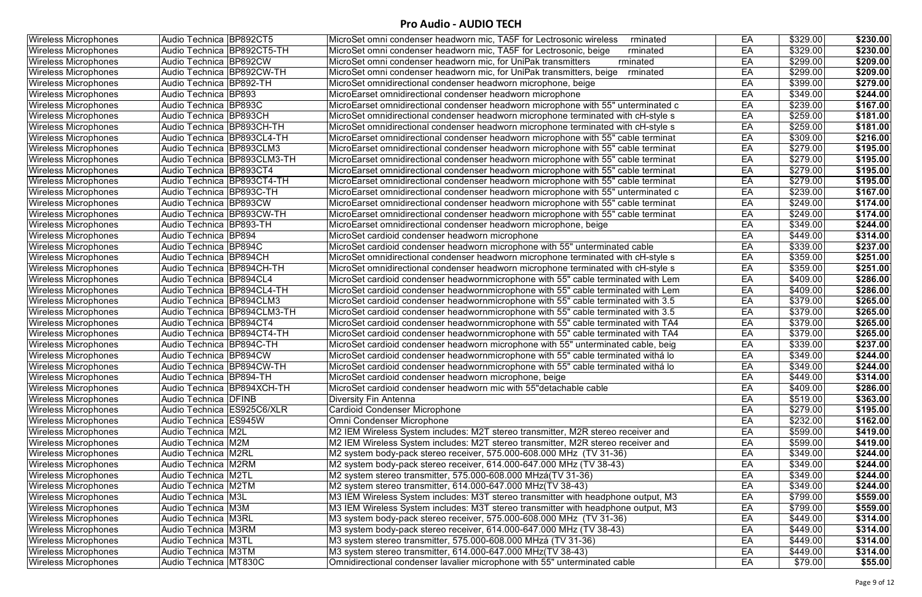| <b>Wireless Microphones</b> | Audio Technica BP892CT5       | MicroSet omni condenser headworn mic, TA5F for Lectrosonic wireless<br>rminated   | EA | \$329.00        | \$230.00 |
|-----------------------------|-------------------------------|-----------------------------------------------------------------------------------|----|-----------------|----------|
| <b>Wireless Microphones</b> | Audio Technica BP892CT5-TH    | MicroSet omni condenser headworn mic, TA5F for Lectrosonic, beige<br>rminated     | EA | \$329.00        | \$230.00 |
| <b>Wireless Microphones</b> | Audio Technica BP892CW        | MicroSet omni condenser headworn mic, for UniPak transmitters<br>rminated         | EA | \$299.00        | \$209.00 |
| <b>Wireless Microphones</b> | Audio Technica   BP892CW-TH   | MicroSet omni condenser headworn mic, for UniPak transmitters, beige<br>rminated  | EA | \$299.00        | \$209.00 |
| <b>Wireless Microphones</b> | Audio Technica BP892-TH       | MicroSet omnidirectional condenser headworn microphone, beige                     | EA | \$399.00        | \$279.00 |
| <b>Wireless Microphones</b> | Audio Technica BP893          | MicroEarset omnidirectional condenser headworn microphone                         | EA | \$349.00        | \$244.00 |
| <b>Wireless Microphones</b> | Audio Technica   BP893C       | MicroEarset omnidirectional condenser headworn microphone with 55" unterminated c | EA | \$239.00        | \$167.00 |
| <b>Wireless Microphones</b> | Audio Technica BP893CH        | MicroSet omnidirectional condenser headworn microphone terminated with cH-style s | EA | \$259.00        | \$181.00 |
| <b>Wireless Microphones</b> | Audio Technica BP893CH-TH     | MicroSet omnidirectional condenser headworn microphone terminated with cH-style s | EA | \$259.00        | \$181.00 |
| <b>Wireless Microphones</b> | Audio Technica BP893CL4-TH    | MicroEarset omnidirectional condenser headworn microphone with 55" cable terminat | EA | \$309.00        | \$216.00 |
| <b>Wireless Microphones</b> | Audio Technica BP893CLM3      | MicroEarset omnidirectional condenser headworn microphone with 55" cable terminat | EA | \$279.00        | \$195.00 |
| <b>Wireless Microphones</b> | Audio Technica BP893CLM3-TH   | MicroEarset omnidirectional condenser headworn microphone with 55" cable terminat | EA | \$279.00        | \$195.00 |
| <b>Wireless Microphones</b> | Audio Technica BP893CT4       | MicroEarset omnidirectional condenser headworn microphone with 55" cable terminat | EA | \$279.00        | \$195.00 |
| <b>Wireless Microphones</b> | Audio Technica BP893CT4-TH    | MicroEarset omnidirectional condenser headworn microphone with 55" cable terminat | EA | \$279.00        | \$195.00 |
| <b>Wireless Microphones</b> | Audio Technica   BP893C-TH    | MicroEarset omnidirectional condenser headworn microphone with 55" unterminated c | EA | \$239.00        | \$167.00 |
| <b>Wireless Microphones</b> | Audio Technica BP893CW        | MicroEarset omnidirectional condenser headworn microphone with 55" cable terminat | EA | \$249.00        | \$174.00 |
| <b>Wireless Microphones</b> | Audio Technica BP893CW-TH     | MicroEarset omnidirectional condenser headworn microphone with 55" cable terminat | EA | \$249.00        | \$174.00 |
| <b>Wireless Microphones</b> | Audio Technica   BP893-TH     | MicroEarset omnidirectional condenser headworn microphone, beige                  | EA | \$349.00        | \$244.00 |
| <b>Wireless Microphones</b> | Audio Technica BP894          | MicroSet cardioid condenser headworn microphone                                   | EA | \$449.00        | \$314.00 |
| <b>Wireless Microphones</b> | Audio Technica BP894C         | MicroSet cardioid condenser headworn microphone with 55" unterminated cable       | EA | \$339.00        | \$237.00 |
| <b>Wireless Microphones</b> | Audio Technica   BP894CH      | MicroSet omnidirectional condenser headworn microphone terminated with cH-style s | EA | \$359.00        | \$251.00 |
| <b>Wireless Microphones</b> | Audio Technica BP894CH-TH     | MicroSet omnidirectional condenser headworn microphone terminated with cH-style s | EA | \$359.00        | \$251.00 |
| <b>Wireless Microphones</b> | Audio Technica   BP894CL4     | MicroSet cardioid condenser headwornmicrophone with 55" cable terminated with Lem | EA | \$409.00        | \$286.00 |
| <b>Wireless Microphones</b> | Audio Technica BP894CL4-TH    | MicroSet cardioid condenser headwornmicrophone with 55" cable terminated with Lem | EA | \$409.00        | \$286.00 |
| <b>Wireless Microphones</b> | Audio Technica BP894CLM3      | MicroSet cardioid condenser headwornmicrophone with 55" cable terminated with 3.5 | EA | \$379.00        | \$265.00 |
| <b>Wireless Microphones</b> | Audio Technica   BP894CLM3-TH | MicroSet cardioid condenser headwornmicrophone with 55" cable terminated with 3.5 | EA | \$379.00        | \$265.00 |
| <b>Wireless Microphones</b> | Audio Technica   BP894CT4     | MicroSet cardioid condenser headwornmicrophone with 55" cable terminated with TA4 | EA | \$379.00        | \$265.00 |
| <b>Wireless Microphones</b> | Audio Technica   BP894CT4-TH  | MicroSet cardioid condenser headwornmicrophone with 55" cable terminated with TA4 | EA | \$379.00        | \$265.00 |
| <b>Wireless Microphones</b> | Audio Technica BP894C-TH      | MicroSet cardioid condenser headworn microphone with 55" unterminated cable, beig | EA | \$339.00        | \$237.00 |
| <b>Wireless Microphones</b> | Audio Technica BP894CW        | MicroSet cardioid condenser headwornmicrophone with 55" cable terminated withá lo | EA | \$349.00        | \$244.00 |
| <b>Wireless Microphones</b> | Audio Technica BP894CW-TH     | MicroSet cardioid condenser headwornmicrophone with 55" cable terminated withá lo | EA | \$349.00        | \$244.00 |
| <b>Wireless Microphones</b> | Audio Technica BP894-TH       | MicroSet cardioid condenser headworn microphone, beige                            | EA | \$449.00        | \$314.00 |
| <b>Wireless Microphones</b> | Audio Technica BP894XCH-TH    | MicroSet cardioid condenser headworn mic with 55"detachable cable                 | EA | \$409.00        | \$286.00 |
| <b>Wireless Microphones</b> | <b>Audio Technica   DFINB</b> | Diversity Fin Antenna                                                             | EA | \$519.00        | \$363.00 |
| <b>Wireless Microphones</b> | Audio Technica   ES925C6/XLR  | Cardioid Condenser Microphone                                                     | EA | \$279.00        | \$195.00 |
| <b>Wireless Microphones</b> | Audio Technica ES945W         | Omni Condenser Microphone                                                         | EA | \$232.00        | \$162.00 |
| <b>Wireless Microphones</b> | Audio Technica  M2L           | M2 IEM Wireless System includes: M2T stereo transmitter, M2R stereo receiver and  | EA | \$599.00        | \$419.00 |
| <b>Wireless Microphones</b> | Audio Technica M2M            | M2 IEM Wireless System includes: M2T stereo transmitter, M2R stereo receiver and  | EA | \$599.00        | \$419.00 |
| <b>Wireless Microphones</b> | Audio Technica   M2RL         | M2 system body-pack stereo receiver, 575.000-608.000 MHz (TV 31-36)               | EA | \$349.00        | \$244.00 |
| <b>Wireless Microphones</b> | Audio Technica M2RM           | M2 system body-pack stereo receiver, 614.000-647.000 MHz (TV 38-43)               | EA | \$349.00        | \$244.00 |
| <b>Wireless Microphones</b> | Audio Technica M2TL           | M2 system stereo transmitter, 575.000-608.000 MHzá(TV 31-36)                      | EA | \$349.00        | \$244.00 |
| <b>Wireless Microphones</b> | Audio Technica M2TM           | M2 system stereo transmitter, 614.000-647.000 MHz(TV 38-43)                       | EA | \$349.00        | \$244.00 |
| <b>Wireless Microphones</b> | Audio Technica   M3L          | M3 IEM Wireless System includes: M3T stereo transmitter with headphone output, M3 | EA | \$799.00        | \$559.00 |
| <b>Wireless Microphones</b> | Audio Technica   M3M          | M3 IEM Wireless System includes: M3T stereo transmitter with headphone output, M3 | EA | \$799.00        | \$559.00 |
| <b>Wireless Microphones</b> | Audio Technica   M3RL         | M3 system body-pack stereo receiver, 575.000-608.000 MHz (TV 31-36)               | EA | \$449.00        | \$314.00 |
| <b>Wireless Microphones</b> | <b>Audio Technica M3RM</b>    | M3 system body-pack stereo receiver, 614.000-647.000 MHz (TV 38-43)               | EA | \$449.00        | \$314.00 |
| <b>Wireless Microphones</b> | Audio Technica M3TL           | M3 system stereo transmitter, 575.000-608.000 MHzá (TV 31-36)                     | EA | \$449.00        | \$314.00 |
| <b>Wireless Microphones</b> | <b>Audio Technica M3TM</b>    | M3 system stereo transmitter, 614.000-647.000 MHz(TV 38-43)                       | EA | \$449.00        | \$314.00 |
| <b>Wireless Microphones</b> | Audio Technica MT830C         | Omnidirectional condenser lavalier microphone with 55" unterminated cable         | EA | $\sqrt{$79.00}$ | \$55.00  |
|                             |                               |                                                                                   |    |                 |          |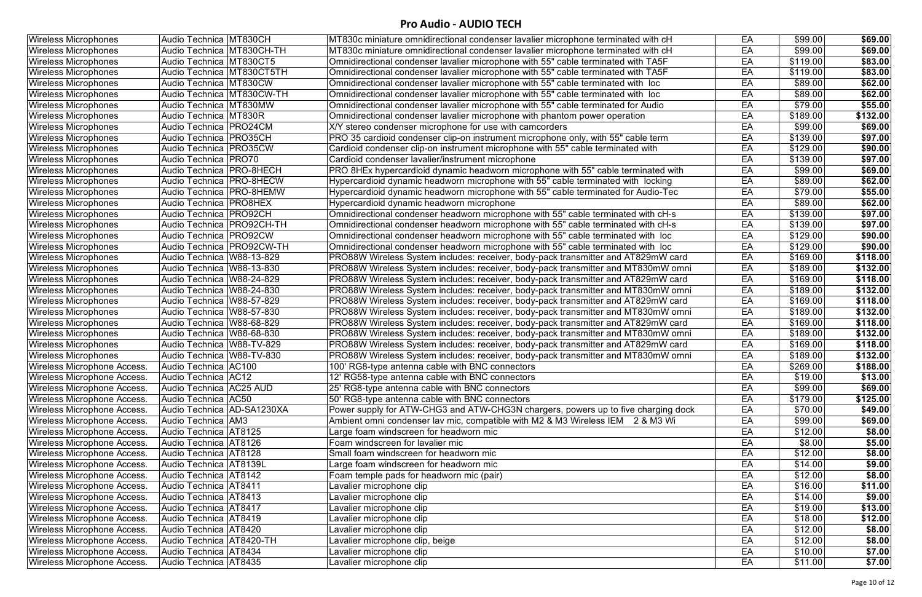| <b>Wireless Microphones</b>        | Audio Technica MT830CH      | MT830c miniature omnidirectional condenser lavalier microphone terminated with cH            | EA | \$99.00  | \$69.00  |
|------------------------------------|-----------------------------|----------------------------------------------------------------------------------------------|----|----------|----------|
| <b>Wireless Microphones</b>        | Audio Technica   MT830CH-TH | MT830c miniature omnidirectional condenser lavalier microphone terminated with cH            | EA | \$99.00  | \$69.00  |
| <b>Wireless Microphones</b>        | Audio Technica   MT830CT5   | Omnidirectional condenser lavalier microphone with 55" cable terminated with TA5F            | EA | \$119.00 | \$83.00  |
| <b>Wireless Microphones</b>        | Audio Technica MT830CT5TH   | Omnidirectional condenser lavalier microphone with 55" cable terminated with TA5F            | EA | \$119.00 | \$83.00  |
| <b>Wireless Microphones</b>        | Audio Technica MT830CW      | Omnidirectional condenser lavalier microphone with 55" cable terminated with loc             | EA | \$89.00  | \$62.00  |
| <b>Wireless Microphones</b>        | Audio Technica MT830CW-TH   | Omnidirectional condenser lavalier microphone with 55" cable terminated with loc             | EA | \$89.00  | \$62.00  |
| <b>Wireless Microphones</b>        | Audio Technica   MT830MW    | Omnidirectional condenser lavalier microphone with 55" cable terminated for Audio            | EA | \$79.00  | \$55.00  |
| <b>Wireless Microphones</b>        | Audio Technica MT830R       | Omnidirectional condenser lavalier microphone with phantom power operation                   | EA | \$189.00 | \$132.00 |
| <b>Wireless Microphones</b>        | Audio Technica   PRO24CM    | X/Y stereo condenser microphone for use with camcorders                                      | EA | \$99.00  | \$69.00  |
| <b>Wireless Microphones</b>        | Audio Technica   PRO35CH    | PRO 35 cardioid condenser clip-on instrument microphone only, with 55" cable term            | EA | \$139.00 | \$97.00  |
| <b>Wireless Microphones</b>        | Audio Technica   PRO35CW    | Cardioid condenser clip-on instrument microphone with 55" cable terminated with              | EA | \$129.00 | \$90.00  |
| <b>Wireless Microphones</b>        | Audio Technica   PRO70      | Cardioid condenser lavalier/instrument microphone                                            | EA | \$139.00 | \$97.00  |
| <b>Wireless Microphones</b>        | Audio Technica   PRO-8HECH  | PRO 8HEx hypercardioid dynamic headworn microphone with 55" cable terminated with            | EA | \$99.00  | \$69.00  |
| <b>Wireless Microphones</b>        | Audio Technica   PRO-8HECW  | Hypercardioid dynamic headworn microphone with 55" cable terminated with locking             | EA | \$89.00  | \$62.00  |
| <b>Wireless Microphones</b>        | Audio Technica PRO-8HEMW    | Hypercardioid dynamic headworn microphone with 55" cable terminated for Audio-Tec            | EA | \$79.00  | \$55.00  |
| <b>Wireless Microphones</b>        | Audio Technica   PRO8HEX    | Hypercardioid dynamic headworn microphone                                                    | EA | \$89.00  | \$62.00  |
| <b>Wireless Microphones</b>        | Audio Technica   PRO92CH    | Omnidirectional condenser headworn microphone with 55" cable terminated with cH-s            | EA | \$139.00 | \$97.00  |
| <b>Wireless Microphones</b>        | Audio Technica   PRO92CH-TH | Omnidirectional condenser headworn microphone with 55" cable terminated with cH-s            | EA | \$139.00 | \$97.00  |
| <b>Wireless Microphones</b>        | Audio Technica   PRO92CW    | Omnidirectional condenser headworn microphone with 55" cable terminated with loc             | EA | \$129.00 | \$90.00  |
| <b>Wireless Microphones</b>        | Audio Technica   PRO92CW-TH | Omnidirectional condenser headworn microphone with 55" cable terminated with loc             | EA | \$129.00 | \$90.00  |
| <b>Wireless Microphones</b>        | Audio Technica   W88-13-829 | PRO88W Wireless System includes: receiver, body-pack transmitter and AT829mW card            | EA | \$169.00 | \$118.00 |
| <b>Wireless Microphones</b>        | Audio Technica   W88-13-830 | PRO88W Wireless System includes: receiver, body-pack transmitter and MT830mW omni            | EA | \$189.00 | \$132.00 |
| <b>Wireless Microphones</b>        | Audio Technica W88-24-829   | PRO88W Wireless System includes: receiver, body-pack transmitter and AT829mW card            | EA | \$169.00 | \$118.00 |
| <b>Wireless Microphones</b>        | Audio Technica   W88-24-830 | PRO88W Wireless System includes: receiver, body-pack transmitter and MT830mW omni            | EA | \$189.00 | \$132.00 |
| <b>Wireless Microphones</b>        | Audio Technica   W88-57-829 | PRO88W Wireless System includes: receiver, body-pack transmitter and AT829mW card            | EA | \$169.00 | \$118.00 |
| <b>Wireless Microphones</b>        | Audio Technica   W88-57-830 | PRO88W Wireless System includes: receiver, body-pack transmitter and MT830mW omni            | EA | \$189.00 | \$132.00 |
| <b>Wireless Microphones</b>        | Audio Technica   W88-68-829 | PRO88W Wireless System includes: receiver, body-pack transmitter and AT829mW card            | EA | \$169.00 | \$118.00 |
| <b>Wireless Microphones</b>        | Audio Technica   W88-68-830 | PRO88W Wireless System includes: receiver, body-pack transmitter and MT830mW omni            | EA | \$189.00 | \$132.00 |
| <b>Wireless Microphones</b>        | Audio Technica   W88-TV-829 | PRO88W Wireless System includes: receiver, body-pack transmitter and AT829mW card            | EA | \$169.00 | \$118.00 |
| <b>Wireless Microphones</b>        | Audio Technica   W88-TV-830 | PRO88W Wireless System includes: receiver, body-pack transmitter and MT830mW omni            | EA | \$189.00 | \$132.00 |
| Wireless Microphone Access.        | Audio Technica AC100        | 100' RG8-type antenna cable with BNC connectors                                              | EA | \$269.00 | \$188.00 |
| <b>Wireless Microphone Access.</b> | Audio Technica   AC12       | 12' RG58-type antenna cable with BNC connectors                                              | EA | \$19.00  | \$13.00  |
| Wireless Microphone Access.        | Audio Technica AC25 AUD     | 25' RG8-type antenna cable with BNC connectors                                               | EA | \$99.00  | \$69.00  |
| Wireless Microphone Access.        | Audio Technica AC50         | 50' RG8-type antenna cable with BNC connectors                                               | EA | \$179.00 | \$125.00 |
| Wireless Microphone Access.        | Audio Technica AD-SA1230XA  | Power supply for ATW-CHG3 and ATW-CHG3N chargers, powers up to five charging dock            | EA | \$70.00  | \$49.00  |
| Wireless Microphone Access.        | Audio Technica   AM3        | Ambient omni condenser lav mic, compatible with M2 $\overline{\&}$ M3 Wireless IEM 2 & M3 Wi | EA | \$99.00  | \$69.00  |
| Wireless Microphone Access.        | Audio Technica   AT8125     | Large foam windscreen for headworn mic                                                       | EA | \$12.00  | \$8.00   |
| Wireless Microphone Access.        | Audio Technica   AT8126     | Foam windscreen for lavalier mic                                                             | EA | \$8.00   | \$5.00   |
| Wireless Microphone Access.        | Audio Technica   AT8128     | Small foam windscreen for headworn mic                                                       | EA | \$12.00  | \$8.00   |
| <b>Wireless Microphone Access.</b> | Audio Technica   AT8139L    | Large foam windscreen for headworn mic                                                       | EA | \$14.00  | \$9.00   |
| Wireless Microphone Access.        | Audio Technica   AT8142     | Foam temple pads for headworn mic (pair)                                                     | EA | \$12.00  | \$8.00   |
| Wireless Microphone Access.        | Audio Technica   AT8411     | Lavalier microphone clip                                                                     | EA | \$16.00  | \$11.00  |
| Wireless Microphone Access.        | Audio Technica   AT8413     | Lavalier microphone clip                                                                     | EA | \$14.00  | \$9.00   |
| Wireless Microphone Access.        | Audio Technica   AT8417     | avalier microphone clip                                                                      | EA | \$19.00  | \$13.00  |
| Wireless Microphone Access.        | Audio Technica AT8419       | Lavalier microphone clip                                                                     | EA | \$18.00  | \$12.00  |
| Wireless Microphone Access.        | Audio Technica   AT8420     | avalier microphone clip                                                                      | EA | \$12.00  | \$8.00   |
| Wireless Microphone Access.        | Audio Technica   AT8420-TH  | avalier microphone clip, beige                                                               | EA | \$12.00  | \$8.00   |
| Wireless Microphone Access.        | Audio Technica   AT8434     | Lavalier microphone clip                                                                     | EA | \$10.00  | \$7.00   |
| Wireless Microphone Access.        | Audio Technica   AT8435     | Lavalier microphone clip                                                                     | EA | \$11.00  | \$7.00   |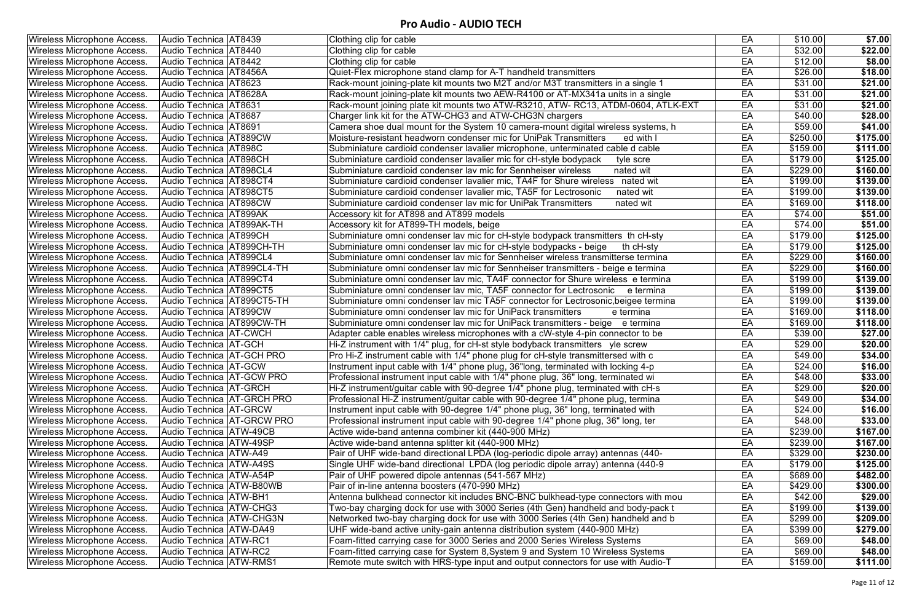| <b>Wireless Microphone Access.</b> | Audio Technica   AT8439          |                              | Clothing clip for cable                                                            | EA | \$10.00  | \$7.00   |
|------------------------------------|----------------------------------|------------------------------|------------------------------------------------------------------------------------|----|----------|----------|
| <b>Wireless Microphone Access.</b> | Audio Technica   AT8440          |                              | Clothing clip for cable                                                            | EA | \$32.00  | \$22.00  |
| Wireless Microphone Access.        | Audio Technica   AT8442          |                              | Clothing clip for cable                                                            | EA | \$12.00  | \$8.00   |
| Wireless Microphone Access.        | Audio Technica   AT8456A         |                              | Quiet-Flex microphone stand clamp for A-T handheld transmitters                    | EA | \$26.00  | \$18.00  |
| Wireless Microphone Access.        | Audio Technica   AT8623          |                              | Rack-mount joining-plate kit mounts two M2T and/or M3T transmitters in a single 1  | EA | \$31.00  | \$21.00  |
| Wireless Microphone Access.        | Audio Technica   AT8628A         |                              | Rack-mount joining-plate kit mounts two AEW-R4100 or AT-MX341a units in a single   | EA | \$31.00  | \$21.00  |
| <b>Wireless Microphone Access.</b> | Audio Technica   AT8631          |                              | Rack-mount joining plate kit mounts two ATW-R3210, ATW- RC13, ATDM-0604, ATLK-EXT  | EA | \$31.00  | \$21.00  |
| Wireless Microphone Access.        | Audio Technica   AT8687          |                              | Charger link kit for the ATW-CHG3 and ATW-CHG3N chargers                           | EA | \$40.00  | \$28.00  |
| Wireless Microphone Access.        | Audio Technica   AT8691          |                              | Camera shoe dual mount for the System 10 camera-mount digital wireless systems, h  | EA | \$59.00  | \$41.00  |
| Wireless Microphone Access.        | Audio Technica   AT889CW         |                              | Moisture-resistant headworn condenser mic for UniPak Transmitters<br>ed with I     | EA | \$250.00 | \$175.00 |
| Wireless Microphone Access.        | Audio Technica   AT898C          |                              | Subminiature cardioid condenser lavalier microphone, unterminated cable d cable    | EA | \$159.00 | \$111.00 |
| <b>Wireless Microphone Access.</b> | Audio Technica   AT898CH         |                              | Subminiature cardioid condenser lavalier mic for cH-style bodypack<br>tyle scre    | EA | \$179.00 | \$125.00 |
| Wireless Microphone Access.        | Audio Technica   AT898CL4        |                              | Subminiature cardioid condenser lav mic for Sennheiser wireless<br>nated wit       | EA | \$229.00 | \$160.00 |
| Wireless Microphone Access.        | Audio Technica   AT898CT4        |                              | Subminiature cardioid condenser lavalier mic, TA4F for Shure wireless nated wit    | EA | \$199.00 | \$139.00 |
| Wireless Microphone Access.        | Audio Technica   AT898CT5        |                              | Subminiature cardioid condenser lavalier mic, TA5F for Lectrosonic<br>nated wit    | EA | \$199.00 | \$139.00 |
| <b>Wireless Microphone Access.</b> | Audio Technica   AT898CW         |                              | Subminiature cardioid condenser lav mic for UniPak Transmitters<br>nated wit       | EA | \$169.00 | \$118.00 |
| Wireless Microphone Access.        | Audio Technica   AT899AK         |                              | Accessory kit for AT898 and AT899 models                                           | EA | \$74.00  | \$51.00  |
| Wireless Microphone Access.        | Audio Technica   AT899AK-TH      |                              | Accessory kit for AT899-TH models, beige                                           | EA | \$74.00  | \$51.00  |
| Wireless Microphone Access.        | Audio Technica AT899CH           |                              | Subminiature omni condenser lav mic for cH-style bodypack transmitters th cH-sty   | EA | \$179.00 | \$125.00 |
| Wireless Microphone Access.        | Audio Technica   AT899CH-TH      |                              | Subminiature omni condenser lav mic for cH-style bodypacks - beige<br>th cH-sty    | EA | \$179.00 | \$125.00 |
| Wireless Microphone Access.        | Audio Technica   AT899CL4        |                              | Subminiature omni condenser lav mic for Sennheiser wireless transmitterse termina  | EA | \$229.00 | \$160.00 |
| Wireless Microphone Access.        | Audio Technica   AT899CL4-TH     |                              | Subminiature omni condenser lav mic for Sennheiser transmitters - beige e termina  | EA | \$229.00 | \$160.00 |
| Wireless Microphone Access.        | Audio Technica   AT899CT4        |                              | Subminiature omni condenser lav mic, TA4F connector for Shure wireless e termina   | EA | \$199.00 | \$139.00 |
| Wireless Microphone Access.        | Audio Technica   AT899CT5        |                              | Subminiature omni condenser lav mic, TA5F connector for Lectrosonic<br>e termina   | EA | \$199.00 | \$139.00 |
| Wireless Microphone Access.        | Audio Technica   AT899CT5-TH     |                              | Subminiature omni condenser lav mic TA5F connector for Lectrosonic, beigee termina | EA | \$199.00 | \$139.00 |
| Wireless Microphone Access.        | Audio Technica   AT899CW         |                              | Subminiature omni condenser lav mic for UniPack transmitters<br>e termina          | EA | \$169.00 | \$118.00 |
| <b>Wireless Microphone Access.</b> | Audio Technica   AT899CW-TH      |                              | Subminiature omni condenser lav mic for UniPack transmitters - beige e termina     | EA | \$169.00 | \$118.00 |
| Wireless Microphone Access.        | Audio Technica   AT-CWCH         |                              | Adapter cable enables wireless microphones with a cW-style 4-pin connector to be   | EA | \$39.00  | \$27.00  |
| Wireless Microphone Access.        | Audio Technica   AT-GCH          |                              | Hi-Z instrument with 1/4" plug, for cH-st style bodyback transmitters yle screw    | EA | \$29.00  | \$20.00  |
| Wireless Microphone Access.        | <b>Audio Technica AT-GCH PRO</b> |                              | Pro Hi-Z instrument cable with 1/4" phone plug for cH-style transmittersed with c  | EA | \$49.00  | \$34.00  |
| <b>Wireless Microphone Access.</b> | Audio Technica   AT-GCW          |                              | Instrument input cable with 1/4" phone plug, 36"long, terminated with locking 4-p  | EA | \$24.00  | \$16.00  |
| <b>Wireless Microphone Access.</b> | Audio Technica AT-GCW PRO        |                              | Professional instrument input cable with 1/4" phone plug, 36" long, terminated wi  | EA | \$48.00  | \$33.00  |
| <b>Wireless Microphone Access.</b> | <b>Audio Technica   AT-GRCH</b>  |                              | Hi-Z instrument/guitar cable with 90-degree 1/4" phone plug, terminated with cH-s  | EA | \$29.00  | \$20.00  |
| Wireless Microphone Access.        |                                  | Audio Technica   AT-GRCH PRO | Professional Hi-Z instrument/guitar cable with 90-degree 1/4" phone plug, termina  | EA | \$49.00  | \$34.00  |
| <b>Wireless Microphone Access.</b> | Audio Technica   AT-GRCW         |                              | Instrument input cable with 90-degree 1/4" phone plug, 36" long, terminated with   | EA | \$24.00  | \$16.00  |
| <b>Wireless Microphone Access.</b> |                                  | Audio Technica AT-GRCW PRO   | Professional instrument input cable with 90-degree 1/4" phone plug, 36" long, ter  | EA | \$48.00  | \$33.00  |
| <b>Wireless Microphone Access.</b> | Audio Technica   ATW-49CB        |                              | Active wide-band antenna combiner kit (440-900 MHz)                                | EA | \$239.00 | \$167.00 |
| Wireless Microphone Access.        | Audio Technica   ATW-49SP        |                              | Active wide-band antenna splitter kit (440-900 MHz)                                | EA | \$239.00 | \$167.00 |
| Wireless Microphone Access.        | Audio Technica   ATW-A49         |                              | Pair of UHF wide-band directional LPDA (log-periodic dipole array) antennas (440-  | EA | \$329.00 | \$230.00 |
| Wireless Microphone Access.        | Audio Technica   ATW-A49S        |                              | Single UHF wide-band directional LPDA (log periodic dipole array) antenna (440-9   | EA | \$179.00 | \$125.00 |
| Wireless Microphone Access.        | Audio Technica   ATW-A54P        |                              | Pair of UHF powered dipole antennas (541-567 MHz)                                  | EA | \$689.00 | \$482.00 |
| <b>Wireless Microphone Access.</b> | Audio Technica   ATW-B80WB       |                              | Pair of in-line antenna boosters (470-990 MHz)                                     | EA | \$429.00 | \$300.00 |
| Wireless Microphone Access.        | <b>Audio Technica ATW-BH1</b>    |                              | Antenna bulkhead connector kit includes BNC-BNC bulkhead-type connectors with mou  | EA | \$42.00  | \$29.00  |
| Wireless Microphone Access.        | Audio Technica   ATW-CHG3        |                              | Two-bay charging dock for use with 3000 Series (4th Gen) handheld and body-pack t  | EA | \$199.00 | \$139.00 |
| <b>Wireless Microphone Access.</b> | Audio Technica   ATW-CHG3N       |                              | Networked two-bay charging dock for use with 3000 Series (4th Gen) handheld and b  | EA | \$299.00 | \$209.00 |
| Wireless Microphone Access.        | Audio Technica ATW-DA49          |                              | UHF wide-band active unity-gain antenna distribution system (440-900 MHz)          | EA | \$399.00 | \$279.00 |
| Wireless Microphone Access.        | Audio Technica   ATW-RC1         |                              | Foam-fitted carrying case for 3000 Series and 2000 Series Wireless Systems         | EA | \$69.00  | \$48.00  |
| Wireless Microphone Access.        | Audio Technica   ATW-RC2         |                              | Foam-fitted carrying case for System 8, System 9 and System 10 Wireless Systems    | EA | \$69.00  | \$48.00  |
| Wireless Microphone Access.        | Audio Technica   ATW-RMS1        |                              | Remote mute switch with HRS-type input and output connectors for use with Audio-T  | EA | \$159.00 | \$111.00 |
|                                    |                                  |                              |                                                                                    |    |          |          |